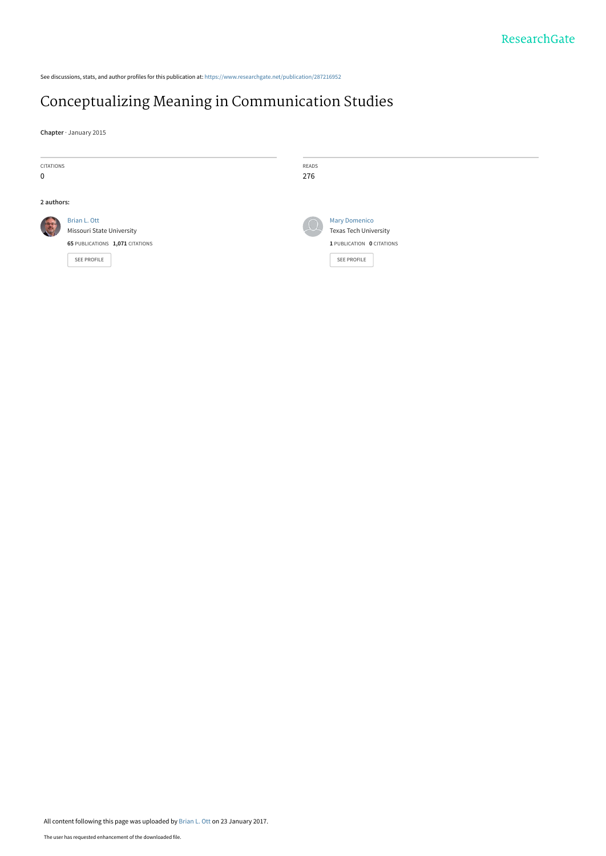See discussions, stats, and author profiles for this publication at: [https://www.researchgate.net/publication/287216952](https://www.researchgate.net/publication/287216952_Conceptualizing_Meaning_in_Communication_Studies?enrichId=rgreq-89413f15b885dd595ba5c8c0068659c6-XXX&enrichSource=Y292ZXJQYWdlOzI4NzIxNjk1MjtBUzo0NTM3MTM1NDMzNDAwMzdAMTQ4NTE4NTE0Njc2MQ%3D%3D&el=1_x_2&_esc=publicationCoverPdf)

## [Conceptualizing Meaning in Communication Studies](https://www.researchgate.net/publication/287216952_Conceptualizing_Meaning_in_Communication_Studies?enrichId=rgreq-89413f15b885dd595ba5c8c0068659c6-XXX&enrichSource=Y292ZXJQYWdlOzI4NzIxNjk1MjtBUzo0NTM3MTM1NDMzNDAwMzdAMTQ4NTE4NTE0Njc2MQ%3D%3D&el=1_x_3&_esc=publicationCoverPdf)

**Chapter** · January 2015

| CITATIONS  |                                 | READS |                           |
|------------|---------------------------------|-------|---------------------------|
| 0          |                                 | 276   |                           |
|            |                                 |       |                           |
| 2 authors: |                                 |       |                           |
| 雪          | Brian L. Ott                    |       | <b>Mary Domenico</b>      |
|            | Missouri State University       |       | Texas Tech University     |
|            | 65 PUBLICATIONS 1,071 CITATIONS |       | 1 PUBLICATION 0 CITATIONS |
|            | SEE PROFILE                     |       | SEE PROFILE               |
|            |                                 |       |                           |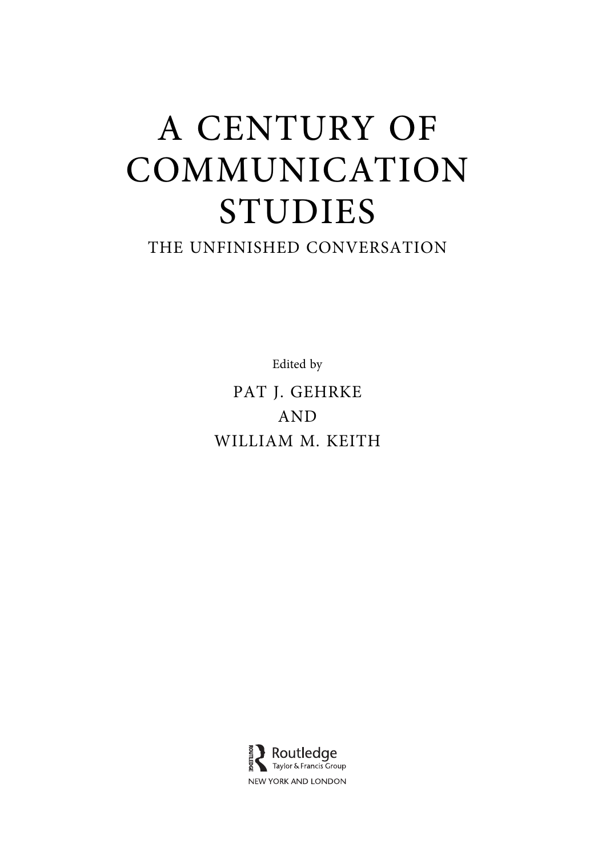# A CENTURY OF COMMUNICATION STUDIES

## THE UNFINISHED CONVERSATION

Edited by

PAT J. GEHRKE AND WILLIAM M. KEITH

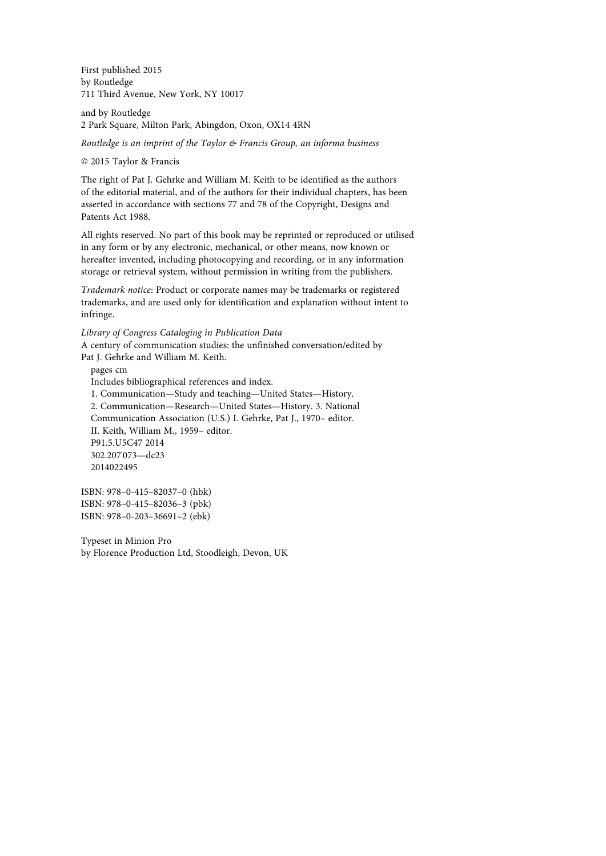First published 2015 by Routledge 711 Third Avenue, New York, NY 10017

and by Routledge 2 Park Square, Milton Park, Abingdon, Oxon, OX14 4RN

*Routledge is an imprint of the Taylor & Francis Group, an informa business*

© 2015 Taylor & Francis

The right of Pat J. Gehrke and William M. Keith to be identified as the authors of the editorial material, and of the authors for their individual chapters, has been asserted in accordance with sections 77 and 78 of the Copyright, Designs and Patents Act 1988.

All rights reserved. No part of this book may be reprinted or reproduced or utilised in any form or by any electronic, mechanical, or other means, now known or hereafter invented, including photocopying and recording, or in any information storage or retrieval system, without permission in writing from the publishers.

*Trademark notice*: Product or corporate names may be trademarks or registered trademarks, and are used only for identification and explanation without intent to infringe.

A century of communication studies: the unfinished conversation/edited by Pat J. Gehrke and William M. Keith. pages cm Includes bibliographical references and index. 1. Communication—Study and teaching—United States—History. 2. Communication—Research—United States—History. 3. National Communication Association (U.S.) I. Gehrke, Pat J., 1970– editor. II. Keith, William M., 1959– editor. P91.5.U5C47 2014 302.207'073—dc23 2014022495

ISBN: 978–0-415–82037–0 (hbk) ISBN: 978–0-415–82036–3 (pbk) ISBN: 978–0-203–36691–2 (ebk)

Typeset in Minion Pro by Florence Production Ltd, Stoodleigh, Devon, UK

*Library of Congress Cataloging in Publication Data*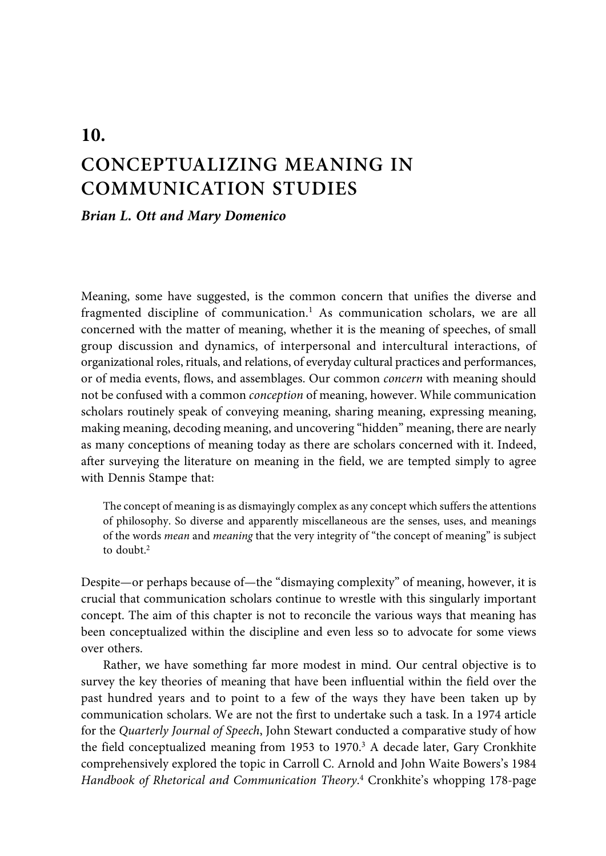# **10. CONCEPTUALIZING MEANING IN COMMUNICATION STUDIES**

### *Brian L. Ott and Mary Domenico*

Meaning, some have suggested, is the common concern that unifies the diverse and fragmented discipline of communication.<sup>1</sup> As communication scholars, we are all concerned with the matter of meaning, whether it is the meaning of speeches, of small group discussion and dynamics, of interpersonal and intercultural interactions, of organizational roles, rituals, and relations, of everyday cultural practices and performances, or of media events, flows, and assemblages. Our common *concern* with meaning should not be confused with a common *conception* of meaning, however. While communication scholars routinely speak of conveying meaning, sharing meaning, expressing meaning, making meaning, decoding meaning, and uncovering "hidden" meaning, there are nearly as many conceptions of meaning today as there are scholars concerned with it. Indeed, after surveying the literature on meaning in the field, we are tempted simply to agree with Dennis Stampe that:

The concept of meaning is as dismayingly complex as any concept which suffers the attentions of philosophy. So diverse and apparently miscellaneous are the senses, uses, and meanings of the words *mean* and *meaning* that the very integrity of "the concept of meaning" is subject to doubt.<sup>2</sup>

Despite—or perhaps because of—the "dismaying complexity" of meaning, however, it is crucial that communication scholars continue to wrestle with this singularly important concept. The aim of this chapter is not to reconcile the various ways that meaning has been conceptualized within the discipline and even less so to advocate for some views over others.

Rather, we have something far more modest in mind. Our central objective is to survey the key theories of meaning that have been influential within the field over the past hundred years and to point to a few of the ways they have been taken up by communication scholars. We are not the first to undertake such a task. In a 1974 article for the *Quarterly Journal of Speech*, John Stewart conducted a comparative study of how the field conceptualized meaning from 1953 to 1970.<sup>3</sup> A decade later, Gary Cronkhite comprehensively explored the topic in Carroll C. Arnold and John Waite Bowers's 1984 *Handbook of Rhetorical and Communication Theory*. <sup>4</sup> Cronkhite's whopping 178-page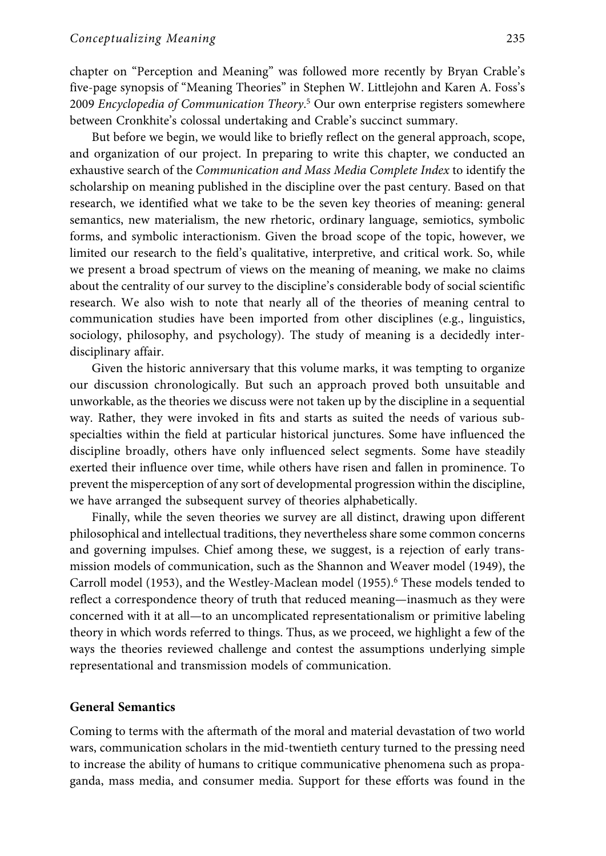chapter on "Perception and Meaning" was followed more recently by Bryan Crable's five-page synopsis of "Meaning Theories" in Stephen W. Littlejohn and Karen A. Foss's 2009 *Encyclopedia of Communication Theory*. <sup>5</sup> Our own enterprise registers somewhere between Cronkhite's colossal undertaking and Crable's succinct summary.

But before we begin, we would like to briefly reflect on the general approach, scope, and organization of our project. In preparing to write this chapter, we conducted an exhaustive search of the *Communication and Mass Media Complete Index* to identify the scholarship on meaning published in the discipline over the past century. Based on that research, we identified what we take to be the seven key theories of meaning: general semantics, new materialism, the new rhetoric, ordinary language, semiotics, symbolic forms, and symbolic interactionism. Given the broad scope of the topic, however, we limited our research to the field's qualitative, interpretive, and critical work. So, while we present a broad spectrum of views on the meaning of meaning, we make no claims about the centrality of our survey to the discipline's considerable body of social scientific research. We also wish to note that nearly all of the theories of meaning central to communication studies have been imported from other disciplines (e.g., linguistics, sociology, philosophy, and psychology). The study of meaning is a decidedly inter disciplinary affair.

Given the historic anniversary that this volume marks, it was tempting to organize our discussion chronologically. But such an approach proved both unsuitable and unworkable, as the theories we discuss were not taken up by the discipline in a sequential way. Rather, they were invoked in fits and starts as suited the needs of various subspecialties within the field at particular historical junctures. Some have influenced the discipline broadly, others have only influenced select segments. Some have steadily exerted their influence over time, while others have risen and fallen in prominence. To prevent the misperception of any sort of developmental progression within the discipline, we have arranged the subsequent survey of theories alphabetically.

Finally, while the seven theories we survey are all distinct, drawing upon different philosophical and intellectual traditions, they nevertheless share some common concerns and governing impulses. Chief among these, we suggest, is a rejection of early transmission models of communication, such as the Shannon and Weaver model (1949), the Carroll model (1953), and the Westley-Maclean model (1955).<sup>6</sup> These models tended to reflect a correspondence theory of truth that reduced meaning—inasmuch as they were concerned with it at all—to an uncomplicated representationalism or primitive labeling theory in which words referred to things. Thus, as we proceed, we highlight a few of the ways the theories reviewed challenge and contest the assumptions underlying simple representational and transmission models of communication.

#### **General Semantics**

Coming to terms with the aftermath of the moral and material devastation of two world wars, communication scholars in the mid-twentieth century turned to the pressing need to increase the ability of humans to critique communicative phenomena such as propa ganda, mass media, and consumer media. Support for these efforts was found in the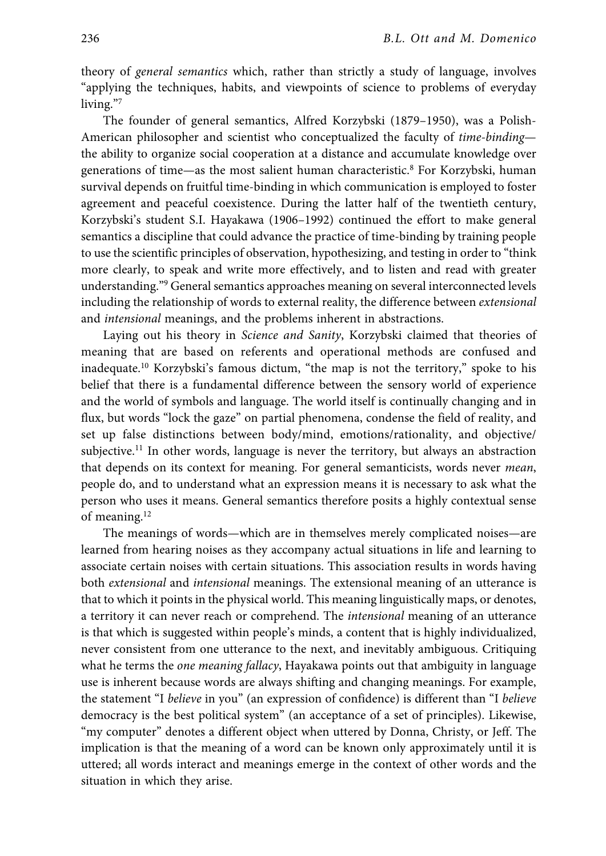theory of *general semantics* which, rather than strictly a study of language, involves "applying the techniques, habits, and viewpoints of science to problems of everyday living."7

The founder of general semantics, Alfred Korzybski (1879–1950), was a Polish-American philosopher and scientist who conceptualized the faculty of *time-binding* the ability to organize social cooperation at a distance and accumulate knowledge over generations of time—as the most salient human characteristic.8 For Korzybski, human survival depends on fruitful time-binding in which communication is employed to foster agreement and peaceful coexistence. During the latter half of the twentieth century, Korzybski's student S.I. Hayakawa (1906–1992) continued the effort to make general semantics a discipline that could advance the practice of time-binding by training people to use the scientific principles of observation, hypothesizing, and testing in order to "think more clearly, to speak and write more effectively, and to listen and read with greater understanding."9 General semantics approaches meaning on several interconnected levels including the relationship of words to external reality, the difference between *extensional* and *intensional* meanings, and the problems inherent in abstractions.

Laying out his theory in *Science and Sanity*, Korzybski claimed that theories of meaning that are based on referents and operational methods are confused and inadequate.<sup>10</sup> Korzybski's famous dictum, "the map is not the territory," spoke to his belief that there is a fundamental difference between the sensory world of experience and the world of symbols and language. The world itself is continually changing and in flux, but words "lock the gaze" on partial phenomena, condense the field of reality, and set up false distinctions between body/mind, emotions/rationality, and objective/ subjective.<sup>11</sup> In other words, language is never the territory, but always an abstraction that depends on its context for meaning. For general semanticists, words never *mean*, people do, and to understand what an expression means it is necessary to ask what the person who uses it means. General semantics therefore posits a highly contextual sense of meaning.<sup>12</sup>

The meanings of words—which are in themselves merely complicated noises—are learned from hearing noises as they accompany actual situations in life and learning to associate certain noises with certain situations. This association results in words having both *extensional* and *intensional* meanings. The extensional meaning of an utterance is that to which it points in the physical world. This meaning linguistically maps, or denotes, a territory it can never reach or comprehend. The *intensional* meaning of an utterance is that which is suggested within people's minds, a content that is highly individualized, never consistent from one utterance to the next, and inevitably ambiguous. Critiquing what he terms the *one meaning fallacy*, Hayakawa points out that ambiguity in language use is inherent because words are always shifting and changing meanings. For example, the statement "I *believe* in you" (an expression of confidence) is different than "I *believe* democracy is the best political system" (an acceptance of a set of principles). Likewise, "my computer" denotes a different object when uttered by Donna, Christy, or Jeff. The implication is that the meaning of a word can be known only approximately until it is uttered; all words interact and meanings emerge in the context of other words and the situation in which they arise.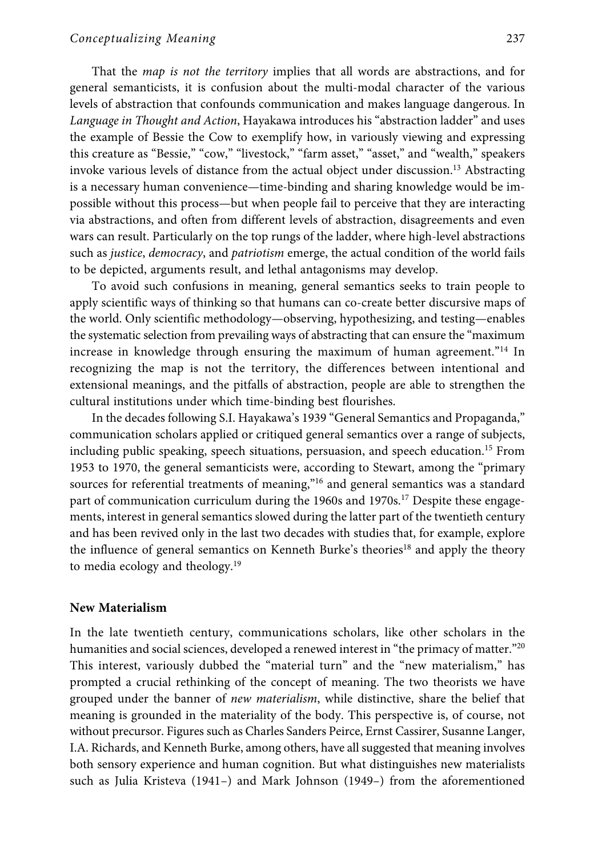That the *map is not the territory* implies that all words are abstractions, and for general semanticists, it is confusion about the multi-modal character of the various levels of abstraction that confounds communication and makes language dangerous. In *Language in Thought and Action*, Hayakawa introduces his "abstraction ladder" and uses the example of Bessie the Cow to exemplify how, in variously viewing and expressing this creature as "Bessie," "cow," "livestock," "farm asset," "asset," and "wealth," speakers invoke various levels of distance from the actual object under discussion.13 Abstracting is a necessary human convenience—time-binding and sharing knowledge would be impossible without this process—but when people fail to perceive that they are interacting via abstractions, and often from different levels of abstraction, disagreements and even wars can result. Particularly on the top rungs of the ladder, where high-level abstractions such as *justice*, *democracy*, and *patriotism* emerge, the actual condition of the world fails to be depicted, arguments result, and lethal antagonisms may develop.

To avoid such confusions in meaning, general semantics seeks to train people to apply scientific ways of thinking so that humans can co-create better discursive maps of the world. Only scientific methodology—observing, hypothesizing, and testing—enables the systematic selection from prevailing ways of abstracting that can ensure the "maximum increase in knowledge through ensuring the maximum of human agreement."<sup>14</sup> In recognizing the map is not the territory, the differences between intentional and extensional meanings, and the pitfalls of abstraction, people are able to strengthen the cultural institutions under which time-binding best flourishes.

In the decades following S.I. Hayakawa's 1939 "General Semantics and Propaganda," communication scholars applied or critiqued general semantics over a range of subjects, including public speaking, speech situations, persuasion, and speech education.15 From 1953 to 1970, the general semanticists were, according to Stewart, among the "primary sources for referential treatments of meaning,"<sup>16</sup> and general semantics was a standard part of communication curriculum during the 1960s and 1970s.<sup>17</sup> Despite these engagements, interest in general semantics slowed during the latter part of the twentieth century and has been revived only in the last two decades with studies that, for example, explore the influence of general semantics on Kenneth Burke's theories<sup>18</sup> and apply the theory to media ecology and theology.<sup>19</sup>

#### **New Materialism**

In the late twentieth century, communications scholars, like other scholars in the humanities and social sciences, developed a renewed interest in "the primacy of matter."<sup>20</sup> This interest, variously dubbed the "material turn" and the "new materialism," has prompted a crucial rethinking of the concept of meaning. The two theorists we have grouped under the banner of *new materialism*, while distinctive, share the belief that meaning is grounded in the materiality of the body. This perspective is, of course, not without precursor. Figures such as Charles Sanders Peirce, Ernst Cassirer, Susanne Langer, I.A. Richards, and Kenneth Burke, among others, have all suggested that meaning involves both sensory experience and human cognition. But what distinguishes new materialists such as Julia Kristeva (1941–) and Mark Johnson (1949–) from the aforementioned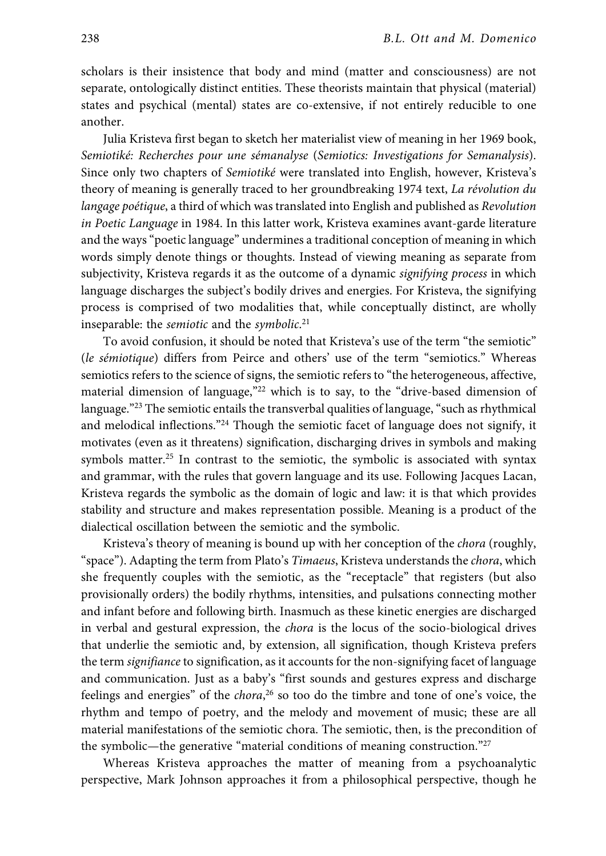scholars is their insistence that body and mind (matter and consciousness) are not separate, ontologically distinct entities. These theorists maintain that physical (material) states and psychical (mental) states are co-extensive, if not entirely reducible to one another.

Julia Kristeva first began to sketch her materialist view of meaning in her 1969 book, *Semiotiké: Recherches pour une sémanalyse* (*Semiotics: Investigations for Semanalysis*). Since only two chapters of *Semiotiké* were translated into English, however, Kristeva's theory of meaning is generally traced to her groundbreaking 1974 text, *La révolution du langage poétique*, a third of which was translated into English and published as *Revolution in Poetic Language* in 1984. In this latter work, Kristeva examines avant-garde literature and the ways "poetic language" undermines a traditional conception of meaning in which words simply denote things or thoughts. Instead of viewing meaning as separate from subjectivity, Kristeva regards it as the outcome of a dynamic *signifying process* in which language discharges the subject's bodily drives and energies. For Kristeva, the signifying process is comprised of two modalities that, while conceptually distinct, are wholly inseparable: the *semiotic* and the *symbolic*. 21

To avoid confusion, it should be noted that Kristeva's use of the term "the semiotic" (*le sémiotique*) differs from Peirce and others' use of the term "semiotics." Whereas semiotics refers to the science of signs, the semiotic refers to "the heterogeneous, affective, material dimension of language,"<sup>22</sup> which is to say, to the "drive-based dimension of language."<sup>23</sup> The semiotic entails the transverbal qualities of language, "such as rhythmical and melodical inflections."<sup>24</sup> Though the semiotic facet of language does not signify, it motivates (even as it threatens) signification, discharging drives in symbols and making symbols matter.<sup>25</sup> In contrast to the semiotic, the symbolic is associated with syntax and grammar, with the rules that govern language and its use. Following Jacques Lacan, Kristeva regards the symbolic as the domain of logic and law: it is that which provides stability and structure and makes representation possible. Meaning is a product of the dialectical oscillation between the semiotic and the symbolic.

Kristeva's theory of meaning is bound up with her conception of the *chora* (roughly, "space"). Adapting the term from Plato's *Timaeus*, Kristeva understands the *chora*, which she frequently couples with the semiotic, as the "receptacle" that registers (but also provisionally orders) the bodily rhythms, intensities, and pulsations connecting mother and infant before and following birth. Inasmuch as these kinetic energies are discharged in verbal and gestural expression, the *chora* is the locus of the socio-biological drives that underlie the semiotic and, by extension, all signification, though Kristeva prefers the term *signifiance* to signification, as it accounts for the non-signifying facet of language and communication. Just as a baby's "first sounds and gestures express and discharge feelings and energies" of the *chora*,<sup>26</sup> so too do the timbre and tone of one's voice, the rhythm and tempo of poetry, and the melody and movement of music; these are all material manifestations of the semiotic chora. The semiotic, then, is the precondition of the symbolic—the generative "material conditions of meaning construction."27

Whereas Kristeva approaches the matter of meaning from a psychoanalytic perspective, Mark Johnson approaches it from a philosophical perspective, though he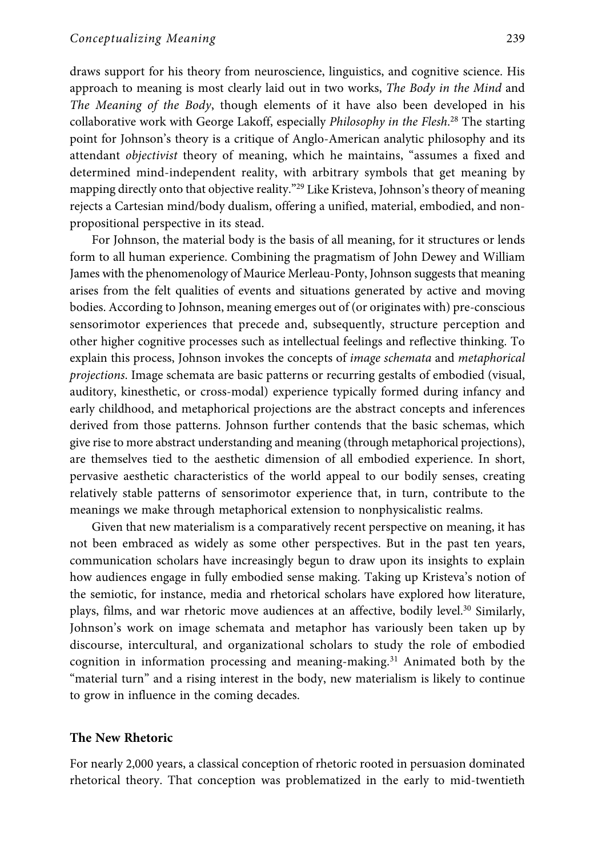draws support for his theory from neuroscience, linguistics, and cognitive science. His approach to meaning is most clearly laid out in two works, *The Body in the Mind* and *The Meaning of the Body*, though elements of it have also been developed in his collaborative work with George Lakoff, especially *Philosophy in the Flesh*. <sup>28</sup> The starting point for Johnson's theory is a critique of Anglo-American analytic philosophy and its attendant *objectivist* theory of meaning, which he maintains, "assumes a fixed and determined mind-independent reality, with arbitrary symbols that get meaning by mapping directly onto that objective reality."29 Like Kristeva, Johnson's theory of meaning rejects a Cartesian mind/body dualism, offering a unified, material, embodied, and nonpropositional perspective in its stead.

For Johnson, the material body is the basis of all meaning, for it structures or lends form to all human experience. Combining the pragmatism of John Dewey and William James with the phenomenology of Maurice Merleau-Ponty, Johnson suggests that meaning arises from the felt qualities of events and situations generated by active and moving bodies. According to Johnson, meaning emerges out of (or originates with) pre-conscious sensorimotor experiences that precede and, subsequently, structure perception and other higher cognitive processes such as intellectual feelings and reflective thinking. To explain this process, Johnson invokes the concepts of *image schemata* and *metaphorical projections*. Image schemata are basic patterns or recurring gestalts of embodied (visual, auditory, kinesthetic, or cross-modal) experience typically formed during infancy and early childhood, and metaphorical projections are the abstract concepts and inferences derived from those patterns. Johnson further contends that the basic schemas, which give rise to more abstract understanding and meaning (through metaphorical projections), are themselves tied to the aesthetic dimension of all embodied experience. In short, pervasive aesthetic characteristics of the world appeal to our bodily senses, creating relatively stable patterns of sensorimotor experience that, in turn, contribute to the meanings we make through metaphorical extension to nonphysicalistic realms.

Given that new materialism is a comparatively recent perspective on meaning, it has not been embraced as widely as some other perspectives. But in the past ten years, communication scholars have increasingly begun to draw upon its insights to explain how audiences engage in fully embodied sense making. Taking up Kristeva's notion of the semiotic, for instance, media and rhetorical scholars have explored how literature, plays, films, and war rhetoric move audiences at an affective, bodily level.<sup>30</sup> Similarly, Johnson's work on image schemata and metaphor has variously been taken up by discourse, intercultural, and organizational scholars to study the role of embodied cognition in information processing and meaning-making.<sup>31</sup> Animated both by the "material turn" and a rising interest in the body, new materialism is likely to continue to grow in influence in the coming decades.

#### **The New Rhetoric**

For nearly 2,000 years, a classical conception of rhetoric rooted in persuasion dominated rhetorical theory. That conception was problematized in the early to mid-twentieth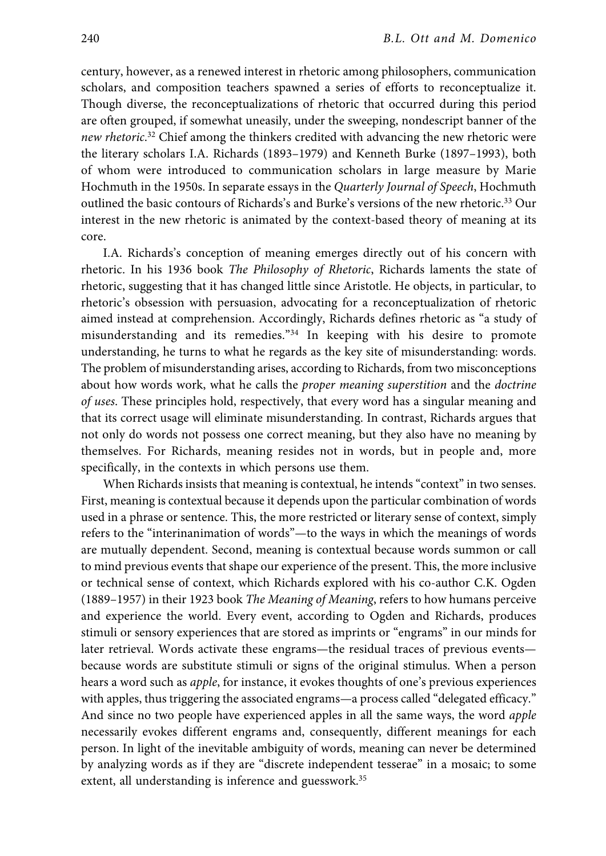century, however, as a renewed interest in rhetoric among philosophers, communication scholars, and composition teachers spawned a series of efforts to reconceptualize it. Though diverse, the reconceptualizations of rhetoric that occurred during this period are often grouped, if somewhat uneasily, under the sweeping, nondescript banner of the *new rhetoric*. <sup>32</sup> Chief among the thinkers credited with advancing the new rhetoric were the literary scholars I.A. Richards (1893–1979) and Kenneth Burke (1897–1993), both of whom were introduced to communication scholars in large measure by Marie Hochmuth in the 1950s. In separate essays in the *Quarterly Journal of Speech*, Hochmuth outlined the basic contours of Richards's and Burke's versions of the new rhetoric.<sup>33</sup> Our interest in the new rhetoric is animated by the context-based theory of meaning at its core.

I.A. Richards's conception of meaning emerges directly out of his concern with rhetoric. In his 1936 book *The Philosophy of Rhetoric*, Richards laments the state of rhetoric, suggesting that it has changed little since Aristotle. He objects, in particular, to rhetoric's obsession with persuasion, advocating for a reconceptualization of rhetoric aimed instead at comprehension. Accordingly, Richards defines rhetoric as "a study of misunderstanding and its remedies."<sup>34</sup> In keeping with his desire to promote understanding, he turns to what he regards as the key site of misunderstanding: words. The problem of misunderstanding arises, according to Richards, from two misconceptions about how words work, what he calls the *proper meaning superstition* and the *doctrine of uses*. These principles hold, respectively, that every word has a singular meaning and that its correct usage will eliminate misunderstanding. In contrast, Richards argues that not only do words not possess one correct meaning, but they also have no meaning by themselves. For Richards, meaning resides not in words, but in people and, more specifically, in the contexts in which persons use them.

When Richards insists that meaning is contextual, he intends "context" in two senses. First, meaning is contextual because it depends upon the particular combination of words used in a phrase or sentence. This, the more restricted or literary sense of context, simply refers to the "interinanimation of words"—to the ways in which the meanings of words are mutually dependent. Second, meaning is contextual because words summon or call to mind previous events that shape our experience of the present. This, the more inclusive or technical sense of context, which Richards explored with his co-author C.K. Ogden (1889–1957) in their 1923 book *The Meaning of Meaning*, refers to how humans perceive and experience the world. Every event, according to Ogden and Richards, produces stimuli or sensory experiences that are stored as imprints or "engrams" in our minds for later retrieval. Words activate these engrams—the residual traces of previous events because words are substitute stimuli or signs of the original stimulus. When a person hears a word such as *apple*, for instance, it evokes thoughts of one's previous experiences with apples, thus triggering the associated engrams—a process called "delegated efficacy." And since no two people have experienced apples in all the same ways, the word *apple* necessarily evokes different engrams and, consequently, different meanings for each person. In light of the inevitable ambiguity of words, meaning can never be determined by analyzing words as if they are "discrete independent tesserae" in a mosaic; to some extent, all understanding is inference and guesswork.<sup>35</sup>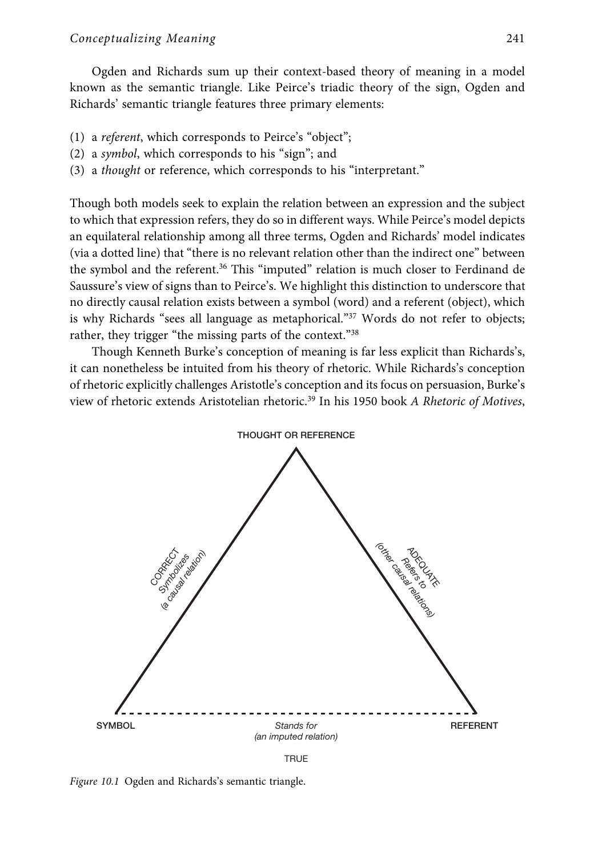Ogden and Richards sum up their context-based theory of meaning in a model known as the semantic triangle. Like Peirce's triadic theory of the sign, Ogden and Richards' semantic triangle features three primary elements:

- (1) a *referent*, which corresponds to Peirce's "object";
- (2) a *symbol*, which corresponds to his "sign"; and
- (3) a *thought* or reference, which corresponds to his "interpretant."

Though both models seek to explain the relation between an expression and the subject to which that expression refers, they do so in different ways. While Peirce's model depicts an equilateral relationship among all three terms, Ogden and Richards' model indicates (via a dotted line) that "there is no relevant relation other than the indirect one" between the symbol and the referent.<sup>36</sup> This "imputed" relation is much closer to Ferdinand de Saussure's view of signs than to Peirce's. We highlight this distinction to underscore that no directly causal relation exists between a symbol (word) and a referent (object), which is why Richards "sees all language as metaphorical."<sup>37</sup> Words do not refer to objects; rather, they trigger "the missing parts of the context."<sup>38</sup>

Though Kenneth Burke's conception of meaning is far less explicit than Richards's, it can nonetheless be intuited from his theory of rhetoric. While Richards's conception of rhetoric explicitly challenges Aristotle's conception and its focus on persuasion, Burke's view of rhetoric extends Aristotelian rhetoric.39 In his 1950 book *A Rhetoric of Motives*,





*Figure 10.1* Ogden and Richards's semantic triangle.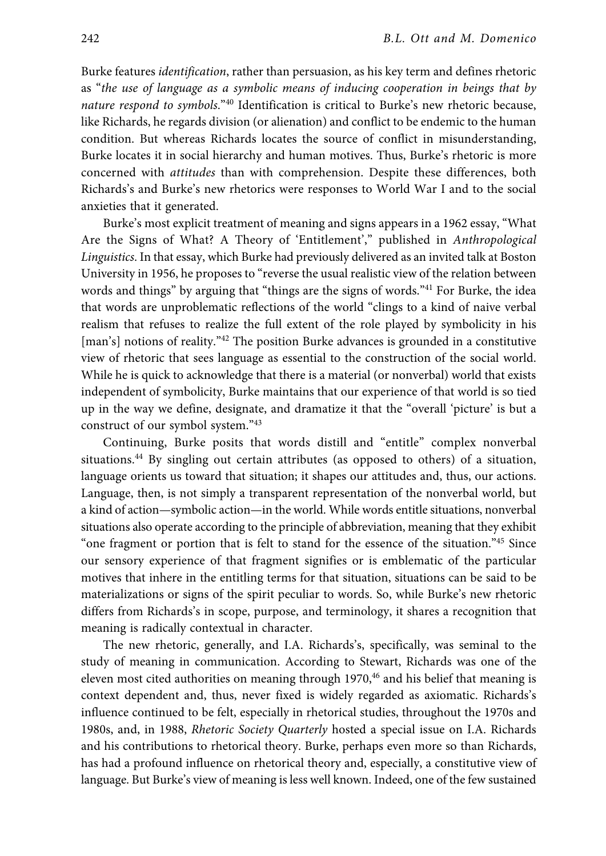Burke features *identification*, rather than persuasion, as his key term and defines rhetoric as "*the use of language as a symbolic means of inducing cooperation in beings that by nature respond to symbols*."40 Identification is critical to Burke's new rhetoric because, like Richards, he regards division (or alienation) and conflict to be endemic to the human condition. But whereas Richards locates the source of conflict in misunderstanding, Burke locates it in social hierarchy and human motives. Thus, Burke's rhetoric is more concerned with *attitudes* than with comprehension. Despite these differences, both Richards's and Burke's new rhetorics were responses to World War I and to the social anxieties that it generated.

Burke's most explicit treatment of meaning and signs appears in a 1962 essay, "What Are the Signs of What? A Theory of 'Entitlement'," published in *Anthropological Linguistics*. In that essay, which Burke had previously delivered as an invited talk at Boston University in 1956, he proposes to "reverse the usual realistic view of the relation between words and things" by arguing that "things are the signs of words."<sup>41</sup> For Burke, the idea that words are unproblematic reflections of the world "clings to a kind of naive verbal realism that refuses to realize the full extent of the role played by symbolicity in his [man's] notions of reality.<sup>"42</sup> The position Burke advances is grounded in a constitutive view of rhetoric that sees language as essential to the construction of the social world. While he is quick to acknowledge that there is a material (or nonverbal) world that exists independent of symbolicity, Burke maintains that our experience of that world is so tied up in the way we define, designate, and dramatize it that the "overall 'picture' is but a construct of our symbol system."43

Continuing, Burke posits that words distill and "entitle" complex nonverbal situations.<sup>44</sup> By singling out certain attributes (as opposed to others) of a situation, language orients us toward that situation; it shapes our attitudes and, thus, our actions. Language, then, is not simply a transparent representation of the nonverbal world, but a kind of action—symbolic action—in the world. While words entitle situations, nonverbal situations also operate according to the principle of abbreviation, meaning that they exhibit "one fragment or portion that is felt to stand for the essence of the situation."45 Since our sensory experience of that fragment signifies or is emblematic of the particular motives that inhere in the entitling terms for that situation, situations can be said to be materializations or signs of the spirit peculiar to words. So, while Burke's new rhetoric differs from Richards's in scope, purpose, and terminology, it shares a recognition that meaning is radically contextual in character.

The new rhetoric, generally, and I.A. Richards's, specifically, was seminal to the study of meaning in communication. According to Stewart, Richards was one of the eleven most cited authorities on meaning through 1970,<sup>46</sup> and his belief that meaning is context dependent and, thus, never fixed is widely regarded as axiomatic. Richards's influence continued to be felt, especially in rhetorical studies, throughout the 1970s and 1980s, and, in 1988, *Rhetoric Society Quarterly* hosted a special issue on I.A. Richards and his contributions to rhetorical theory. Burke, perhaps even more so than Richards, has had a profound influence on rhetorical theory and, especially, a constitutive view of language. But Burke's view of meaning is less well known. Indeed, one of the few sustained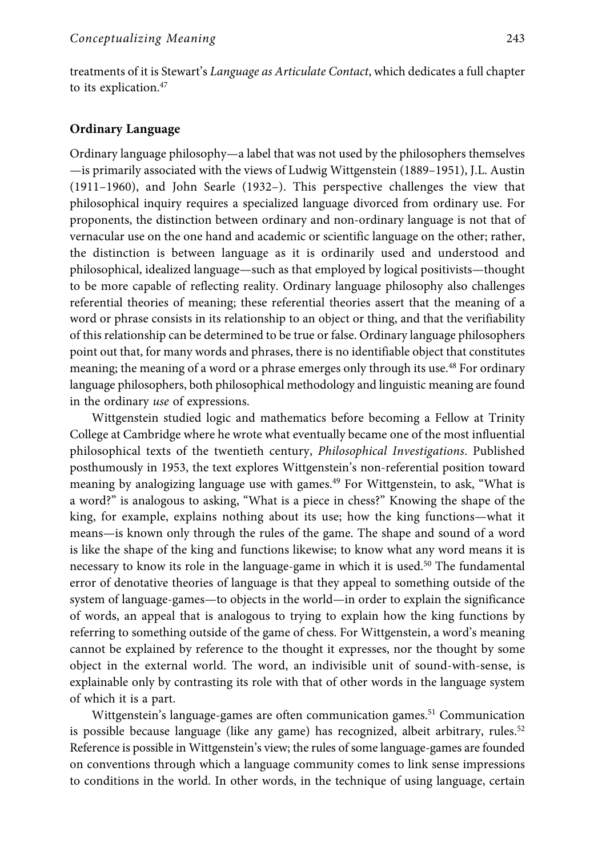treatments of it is Stewart's *Language as Articulate Contact*, which dedicates a full chapter to its explication.<sup>47</sup>

#### **Ordinary Language**

Ordinary language philosophy—a label that was not used by the philosophers themselves —is primarily associated with the views of Ludwig Wittgenstein (1889–1951), J.L. Austin (1911–1960), and John Searle (1932–). This perspective challenges the view that philosophical inquiry requires a specialized language divorced from ordinary use. For proponents, the distinction between ordinary and non-ordinary language is not that of vernacular use on the one hand and academic or scientific language on the other; rather, the distinction is between language as it is ordinarily used and understood and philosophical, idealized language—such as that employed by logical positivists—thought to be more capable of reflecting reality. Ordinary language philosophy also challenges referential theories of meaning; these referential theories assert that the meaning of a word or phrase consists in its relationship to an object or thing, and that the verifiability of this relationship can be determined to be true or false. Ordinary language philosophers point out that, for many words and phrases, there is no identifiable object that constitutes meaning; the meaning of a word or a phrase emerges only through its use.<sup>48</sup> For ordinary language philosophers, both philosophical methodology and linguistic meaning are found in the ordinary *use* of expressions.

Wittgenstein studied logic and mathematics before becoming a Fellow at Trinity College at Cambridge where he wrote what eventually became one of the most influential philosophical texts of the twentieth century, *Philosophical Investigations*. Published posthumously in 1953, the text explores Wittgenstein's non-referential position toward meaning by analogizing language use with games.<sup>49</sup> For Wittgenstein, to ask, "What is a word?" is analogous to asking, "What is a piece in chess?" Knowing the shape of the king, for example, explains nothing about its use; how the king functions—what it means—is known only through the rules of the game. The shape and sound of a word is like the shape of the king and functions likewise; to know what any word means it is necessary to know its role in the language-game in which it is used.<sup>50</sup> The fundamental error of denotative theories of language is that they appeal to something outside of the system of language-games—to objects in the world—in order to explain the significance of words, an appeal that is analogous to trying to explain how the king functions by referring to something outside of the game of chess. For Wittgenstein, a word's meaning cannot be explained by reference to the thought it expresses, nor the thought by some object in the external world. The word, an indivisible unit of sound-with-sense, is explainable only by contrasting its role with that of other words in the language system of which it is a part.

Wittgenstein's language-games are often communication games.<sup>51</sup> Communication is possible because language (like any game) has recognized, albeit arbitrary, rules.<sup>52</sup> Reference is possible in Wittgenstein's view; the rules of some language-games are founded on conventions through which a language community comes to link sense impressions to conditions in the world. In other words, in the technique of using language, certain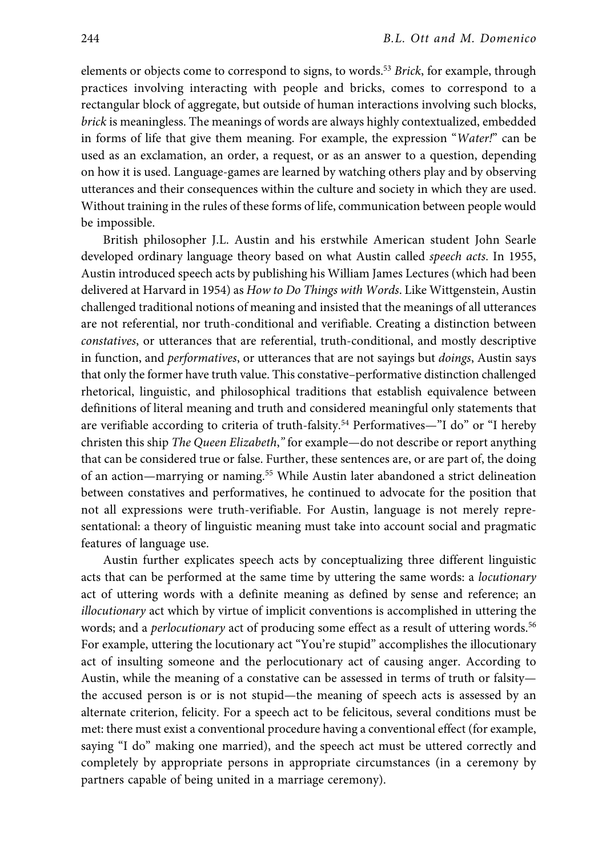elements or objects come to correspond to signs, to words.53 *Brick*, for example, through practices involving interacting with people and bricks, comes to correspond to a rectangular block of aggregate, but outside of human interactions involving such blocks, *brick* is meaningless. The meanings of words are always highly contextualized, embedded in forms of life that give them meaning. For example, the expression "*Water!*" can be used as an exclamation, an order, a request, or as an answer to a question, depending on how it is used. Language-games are learned by watching others play and by observing utterances and their consequences within the culture and society in which they are used. Without training in the rules of these forms of life, communication between people would be impossible.

British philosopher J.L. Austin and his erstwhile American student John Searle developed ordinary language theory based on what Austin called *speech acts*. In 1955, Austin introduced speech acts by publishing his William James Lectures (which had been delivered at Harvard in 1954) as *How to Do Things with Words*. Like Wittgenstein, Austin challenged traditional notions of meaning and insisted that the meanings of all utterances are not referential, nor truth-conditional and verifiable. Creating a distinction between *constatives*, or utterances that are referential, truth-conditional, and mostly descriptive in function, and *performatives*, or utterances that are not sayings but *doings*, Austin says that only the former have truth value. This constative–performative distinction challenged rhetorical, linguistic, and philosophical traditions that establish equivalence between definitions of literal meaning and truth and considered meaningful only statements that are verifiable according to criteria of truth-falsity.<sup>54</sup> Performatives—"I do" or "I hereby christen this ship *The Queen Elizabeth*,*"* for example—do not describe or report anything that can be considered true or false. Further, these sentences are, or are part of, the doing of an action—marrying or naming.<sup>55</sup> While Austin later abandoned a strict delineation between constatives and performatives, he continued to advocate for the position that not all expressions were truth-verifiable. For Austin, language is not merely repre sentational: a theory of linguistic meaning must take into account social and pragmatic features of language use.

Austin further explicates speech acts by conceptualizing three different linguistic acts that can be performed at the same time by uttering the same words: a *locutionary* act of uttering words with a definite meaning as defined by sense and reference; an *illocutionary* act which by virtue of implicit conventions is accomplished in uttering the words; and a *perlocutionary* act of producing some effect as a result of uttering words.<sup>56</sup> For example, uttering the locutionary act "You're stupid" accomplishes the illocutionary act of insulting someone and the perlocutionary act of causing anger. According to Austin, while the meaning of a constative can be assessed in terms of truth or falsity the accused person is or is not stupid—the meaning of speech acts is assessed by an alternate criterion, felicity. For a speech act to be felicitous, several conditions must be met: there must exist a conventional procedure having a conventional effect (for example, saying "I do" making one married), and the speech act must be uttered correctly and completely by appropriate persons in appropriate circumstances (in a ceremony by partners capable of being united in a marriage ceremony).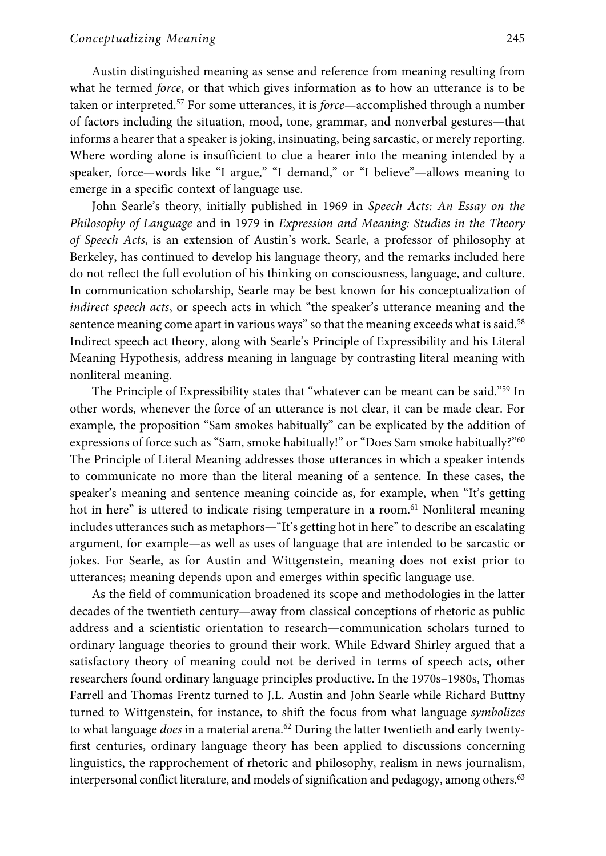Austin distinguished meaning as sense and reference from meaning resulting from what he termed *force*, or that which gives information as to how an utterance is to be taken or interpreted.57 For some utterances, it is *force*—accomplished through a number of factors including the situation, mood, tone, grammar, and nonverbal gestures—that informs a hearer that a speaker is joking, insinuating, being sarcastic, or merely reporting. Where wording alone is insufficient to clue a hearer into the meaning intended by a speaker, force—words like "I argue," "I demand," or "I believe"—allows meaning to emerge in a specific context of language use.

John Searle's theory, initially published in 1969 in *Speech Acts: An Essay on the Philosophy of Language* and in 1979 in *Expression and Meaning: Studies in the Theory of Speech Acts*, is an extension of Austin's work. Searle, a professor of philosophy at Berkeley, has continued to develop his language theory, and the remarks included here do not reflect the full evolution of his thinking on consciousness, language, and culture. In communication scholarship, Searle may be best known for his conceptualization of *indirect speech acts*, or speech acts in which "the speaker's utterance meaning and the sentence meaning come apart in various ways" so that the meaning exceeds what is said.<sup>58</sup> Indirect speech act theory, along with Searle's Principle of Expressibility and his Literal Meaning Hypothesis, address meaning in language by contrasting literal meaning with nonliteral meaning.

The Principle of Expressibility states that "whatever can be meant can be said."59 In other words, whenever the force of an utterance is not clear, it can be made clear. For example, the proposition "Sam smokes habitually" can be explicated by the addition of expressions of force such as "Sam, smoke habitually!" or "Does Sam smoke habitually?"<sup>60</sup> The Principle of Literal Meaning addresses those utterances in which a speaker intends to communicate no more than the literal meaning of a sentence. In these cases, the speaker's meaning and sentence meaning coincide as, for example, when "It's getting hot in here" is uttered to indicate rising temperature in a room.<sup>61</sup> Nonliteral meaning includes utterances such as metaphors—"It's getting hot in here" to describe an escalating argument, for example—as well as uses of language that are intended to be sarcastic or jokes. For Searle, as for Austin and Wittgenstein, meaning does not exist prior to utterances; meaning depends upon and emerges within specific language use.

As the field of communication broadened its scope and methodologies in the latter decades of the twentieth century—away from classical conceptions of rhetoric as public address and a scientistic orientation to research—communication scholars turned to ordinary language theories to ground their work. While Edward Shirley argued that a satisfactory theory of meaning could not be derived in terms of speech acts, other researchers found ordinary language principles productive. In the 1970s–1980s, Thomas Farrell and Thomas Frentz turned to J.L. Austin and John Searle while Richard Buttny turned to Wittgenstein, for instance, to shift the focus from what language *symbolizes* to what language *does* in a material arena.62 During the latter twentieth and early twentyfirst centuries, ordinary language theory has been applied to discussions concerning linguistics, the rapprochement of rhetoric and philosophy, realism in news journalism, interpersonal conflict literature, and models of signification and pedagogy, among others.<sup>63</sup>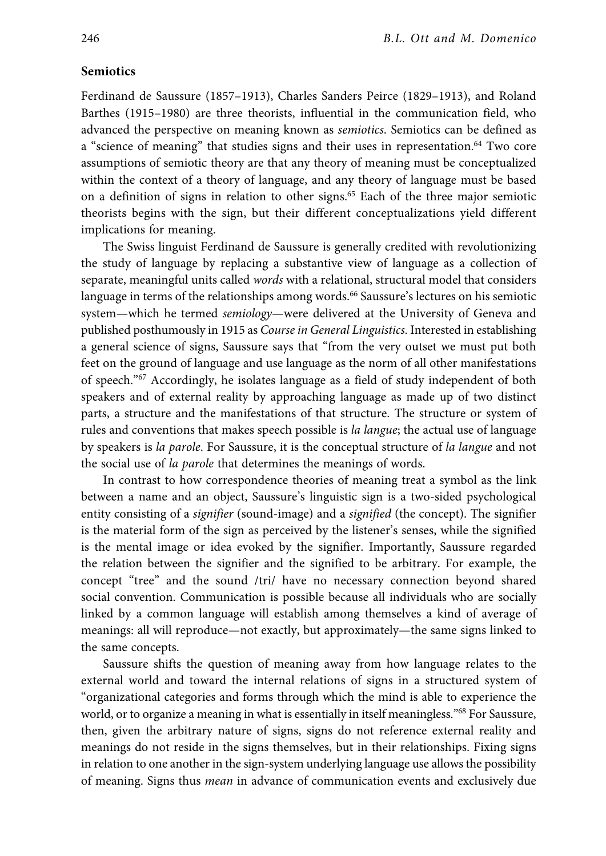#### **Semiotics**

Ferdinand de Saussure (1857–1913), Charles Sanders Peirce (1829–1913), and Roland Barthes (1915–1980) are three theorists, influential in the communication field, who advanced the perspective on meaning known as *semiotics*. Semiotics can be defined as a "science of meaning" that studies signs and their uses in representation.<sup>64</sup> Two core assumptions of semiotic theory are that any theory of meaning must be conceptualized within the context of a theory of language, and any theory of language must be based on a definition of signs in relation to other signs.<sup>65</sup> Each of the three major semiotic theorists begins with the sign, but their different conceptualizations yield different implications for meaning.

The Swiss linguist Ferdinand de Saussure is generally credited with revolutionizing the study of language by replacing a substantive view of language as a collection of separate, meaningful units called *words* with a relational, structural model that considers language in terms of the relationships among words.<sup>66</sup> Saussure's lectures on his semiotic system—which he termed *semiology*—were delivered at the University of Geneva and published posthumously in 1915 as *Course in General Linguistics*. Interested in establishing a general science of signs, Saussure says that "from the very outset we must put both feet on the ground of language and use language as the norm of all other manifestations of speech."67 Accordingly, he isolates language as a field of study independent of both speakers and of external reality by approaching language as made up of two distinct parts, a structure and the manifestations of that structure. The structure or system of rules and conventions that makes speech possible is *la langue*; the actual use of language by speakers is *la parole*. For Saussure, it is the conceptual structure of *la langue* and not the social use of *la parole* that determines the meanings of words.

In contrast to how correspondence theories of meaning treat a symbol as the link between a name and an object, Saussure's linguistic sign is a two-sided psychological entity consisting of a *signifier* (sound-image) and a *signified* (the concept). The signifier is the material form of the sign as perceived by the listener's senses, while the signified is the mental image or idea evoked by the signifier. Importantly, Saussure regarded the relation between the signifier and the signified to be arbitrary. For example, the concept "tree" and the sound /tri/ have no necessary connection beyond shared social convention. Communication is possible because all individuals who are socially linked by a common language will establish among themselves a kind of average of meanings: all will reproduce—not exactly, but approximately—the same signs linked to the same concepts.

Saussure shifts the question of meaning away from how language relates to the external world and toward the internal relations of signs in a structured system of "organizational categories and forms through which the mind is able to experience the world, or to organize a meaning in what is essentially in itself meaningless."<sup>68</sup> For Saussure, then, given the arbitrary nature of signs, signs do not reference external reality and meanings do not reside in the signs themselves, but in their relationships. Fixing signs in relation to one another in the sign-system underlying language use allows the possibility of meaning. Signs thus *mean* in advance of communication events and exclusively due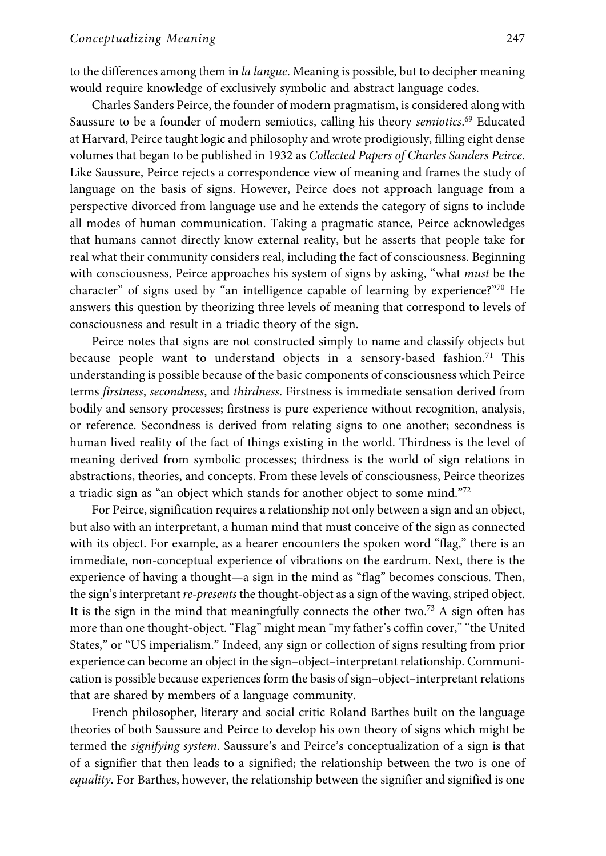to the differences among them in *la langue*. Meaning is possible, but to decipher meaning would require knowledge of exclusively symbolic and abstract language codes.

Charles Sanders Peirce, the founder of modern pragmatism, is considered along with Saussure to be a founder of modern semiotics, calling his theory *semiotics*. <sup>69</sup> Educated at Harvard, Peirce taught logic and philosophy and wrote prodigiously, filling eight dense volumes that began to be published in 1932 as *Collected Papers of Charles Sanders Peirce*. Like Saussure, Peirce rejects a correspondence view of meaning and frames the study of language on the basis of signs. However, Peirce does not approach language from a perspective divorced from language use and he extends the category of signs to include all modes of human communication. Taking a pragmatic stance, Peirce acknowledges that humans cannot directly know external reality, but he asserts that people take for real what their community considers real, including the fact of consciousness. Beginning with consciousness, Peirce approaches his system of signs by asking, "what *must* be the character" of signs used by "an intelligence capable of learning by experience?"70 He answers this question by theorizing three levels of meaning that correspond to levels of consciousness and result in a triadic theory of the sign.

Peirce notes that signs are not constructed simply to name and classify objects but because people want to understand objects in a sensory-based fashion.<sup>71</sup> This understanding is possible because of the basic components of consciousness which Peirce terms *firstness*, *secondness*, and *thirdness*. Firstness is immediate sensation derived from bodily and sensory processes; firstness is pure experience without recognition, analysis, or reference. Secondness is derived from relating signs to one another; secondness is human lived reality of the fact of things existing in the world. Thirdness is the level of meaning derived from symbolic processes; thirdness is the world of sign relations in abstractions, theories, and concepts. From these levels of consciousness, Peirce theorizes a triadic sign as "an object which stands for another object to some mind."72

For Peirce, signification requires a relationship not only between a sign and an object, but also with an interpretant, a human mind that must conceive of the sign as connected with its object. For example, as a hearer encounters the spoken word "flag," there is an immediate, non-conceptual experience of vibrations on the eardrum. Next, there is the experience of having a thought—a sign in the mind as "flag" becomes conscious. Then, the sign's interpretant *re-presents* the thought-object as a sign of the waving, striped object. It is the sign in the mind that meaningfully connects the other two.<sup>73</sup> A sign often has more than one thought-object. "Flag" might mean "my father's coffin cover," "the United States," or "US imperialism." Indeed, any sign or collection of signs resulting from prior experience can become an object in the sign–object–interpretant relationship. Communi cation is possible because experiences form the basis of sign–object–interpretant relations that are shared by members of a language community.

French philosopher, literary and social critic Roland Barthes built on the language theories of both Saussure and Peirce to develop his own theory of signs which might be termed the *signifying system*. Saussure's and Peirce's conceptualization of a sign is that of a signifier that then leads to a signified; the relationship between the two is one of *equality*. For Barthes, however, the relationship between the signifier and signified is one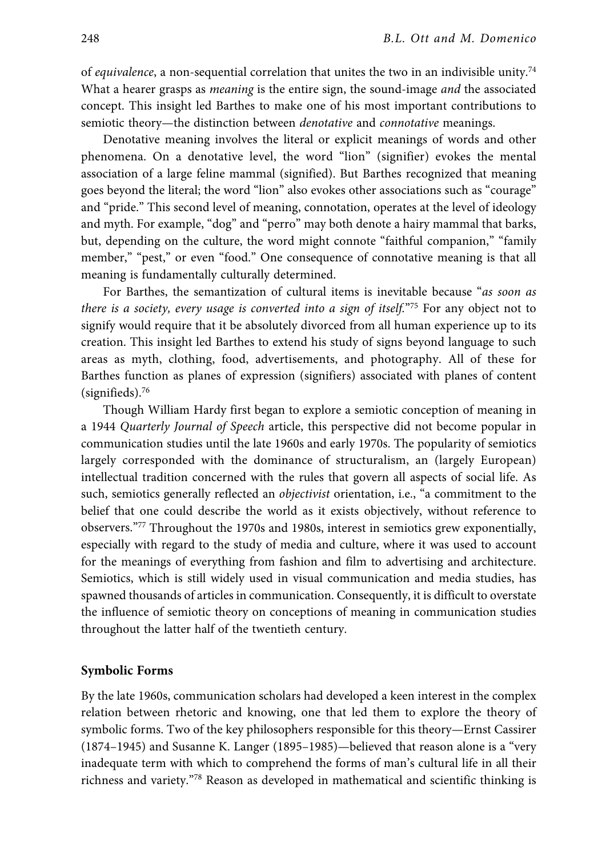of *equivalence*, a non-sequential correlation that unites the two in an indivisible unity.74 What a hearer grasps as *meaning* is the entire sign, the sound-image *and* the associated concept. This insight led Barthes to make one of his most important contributions to semiotic theory—the distinction between *denotative* and *connotative* meanings.

Denotative meaning involves the literal or explicit meanings of words and other phenomena. On a denotative level, the word "lion" (signifier) evokes the mental association of a large feline mammal (signified). But Barthes recognized that meaning goes beyond the literal; the word "lion" also evokes other associations such as "courage" and "pride." This second level of meaning, connotation, operates at the level of ideology and myth. For example, "dog" and "perro" may both denote a hairy mammal that barks, but, depending on the culture, the word might connote "faithful companion," "family member," "pest," or even "food." One consequence of connotative meaning is that all meaning is fundamentally culturally determined.

For Barthes, the semantization of cultural items is inevitable because "*as soon as there is a society, every usage is converted into a sign of itself.*"75 For any object not to signify would require that it be absolutely divorced from all human experience up to its creation. This insight led Barthes to extend his study of signs beyond language to such areas as myth, clothing, food, advertisements, and photography. All of these for Barthes function as planes of expression (signifiers) associated with planes of content (signifieds).76

Though William Hardy first began to explore a semiotic conception of meaning in a 1944 *Quarterly Journal of Speech* article, this perspective did not become popular in communication studies until the late 1960s and early 1970s. The popularity of semiotics largely corresponded with the dominance of structuralism, an (largely European) intellectual tradition concerned with the rules that govern all aspects of social life. As such, semiotics generally reflected an *objectivist* orientation, i.e., "a commitment to the belief that one could describe the world as it exists objectively, without reference to observers."77 Throughout the 1970s and 1980s, interest in semiotics grew exponentially, especially with regard to the study of media and culture, where it was used to account for the meanings of everything from fashion and film to advertising and architecture. Semiotics, which is still widely used in visual communication and media studies, has spawned thousands of articles in communication. Consequently, it is difficult to overstate the influence of semiotic theory on conceptions of meaning in communication studies throughout the latter half of the twentieth century.

#### **Symbolic Forms**

By the late 1960s, communication scholars had developed a keen interest in the complex relation between rhetoric and knowing, one that led them to explore the theory of symbolic forms. Two of the key philosophers responsible for this theory—Ernst Cassirer (1874–1945) and Susanne K. Langer (1895–1985)—believed that reason alone is a "very inadequate term with which to comprehend the forms of man's cultural life in all their richness and variety."78 Reason as developed in mathematical and scientific thinking is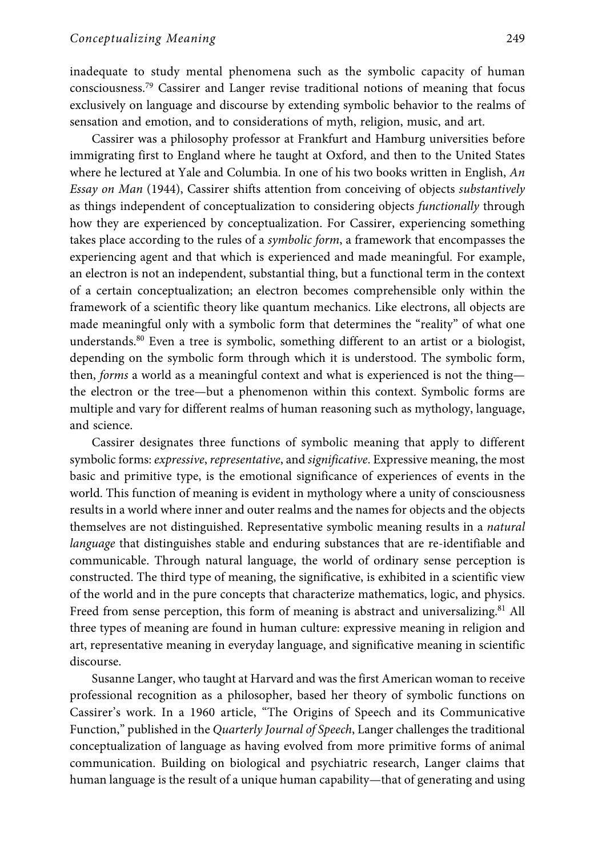inadequate to study mental phenomena such as the symbolic capacity of human consciousness.79 Cassirer and Langer revise traditional notions of meaning that focus exclusively on language and discourse by extending symbolic behavior to the realms of sensation and emotion, and to considerations of myth, religion, music, and art.

Cassirer was a philosophy professor at Frankfurt and Hamburg universities before immigrating first to England where he taught at Oxford, and then to the United States where he lectured at Yale and Columbia. In one of his two books written in English, *An Essay on Man* (1944), Cassirer shifts attention from conceiving of objects *substantively* as things independent of conceptualization to considering objects *functionally* through how they are experienced by conceptualization. For Cassirer, experiencing something takes place according to the rules of a *symbolic form*, a framework that encompasses the experiencing agent and that which is experienced and made meaningful. For example, an electron is not an independent, substantial thing, but a functional term in the context of a certain conceptualization; an electron becomes comprehensible only within the framework of a scientific theory like quantum mechanics. Like electrons, all objects are made meaningful only with a symbolic form that determines the "reality" of what one understands.80 Even a tree is symbolic, something different to an artist or a biologist, depending on the symbolic form through which it is understood. The symbolic form, then, *forms* a world as a meaningful context and what is experienced is not the thing the electron or the tree—but a phenomenon within this context. Symbolic forms are multiple and vary for different realms of human reasoning such as mythology, language, and science.

Cassirer designates three functions of symbolic meaning that apply to different symbolic forms: *expressive*, *representative*, and *significative*. Expressive meaning, the most basic and primitive type, is the emotional significance of experiences of events in the world. This function of meaning is evident in mythology where a unity of consciousness results in a world where inner and outer realms and the names for objects and the objects themselves are not distinguished. Representative symbolic meaning results in a *natural language* that distinguishes stable and enduring substances that are re-identifiable and communicable. Through natural language, the world of ordinary sense perception is constructed. The third type of meaning, the significative, is exhibited in a scientific view of the world and in the pure concepts that characterize mathematics, logic, and physics. Freed from sense perception, this form of meaning is abstract and universalizing.<sup>81</sup> All three types of meaning are found in human culture: expressive meaning in religion and art, representative meaning in everyday language, and significative meaning in scientific discourse.

Susanne Langer, who taught at Harvard and was the first American woman to receive professional recognition as a philosopher, based her theory of symbolic functions on Cassirer's work. In a 1960 article, "The Origins of Speech and its Communicative Function," published in the *Quarterly Journal of Speech*, Langer challenges the traditional conceptualization of language as having evolved from more primitive forms of animal communication. Building on biological and psychiatric research, Langer claims that human language is the result of a unique human capability—that of generating and using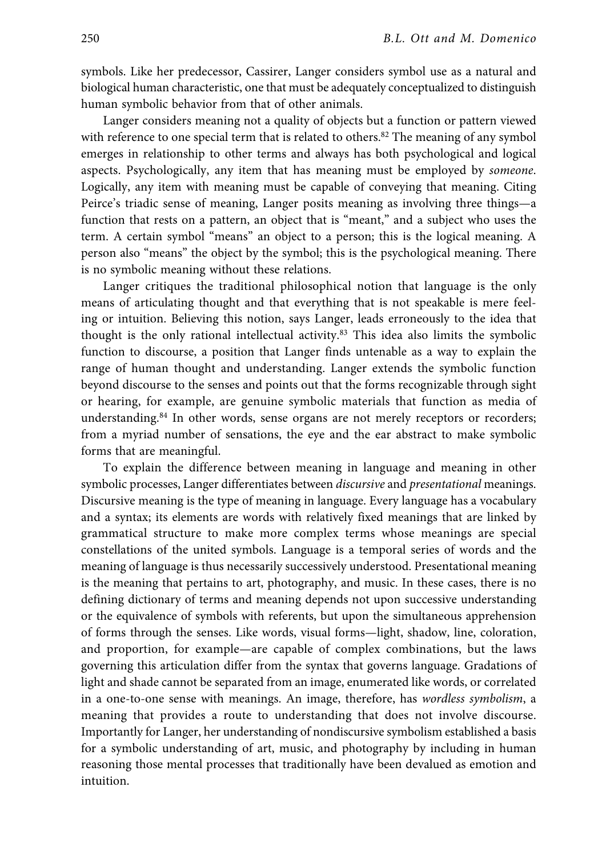symbols. Like her predecessor, Cassirer, Langer considers symbol use as a natural and biological human characteristic, one that must be adequately conceptualized to distinguish human symbolic behavior from that of other animals.

Langer considers meaning not a quality of objects but a function or pattern viewed with reference to one special term that is related to others.<sup>82</sup> The meaning of any symbol emerges in relationship to other terms and always has both psychological and logical aspects. Psychologically, any item that has meaning must be employed by *someone*. Logically, any item with meaning must be capable of conveying that meaning. Citing Peirce's triadic sense of meaning, Langer posits meaning as involving three things—a function that rests on a pattern, an object that is "meant," and a subject who uses the term. A certain symbol "means" an object to a person; this is the logical meaning. A person also "means" the object by the symbol; this is the psychological meaning. There is no symbolic meaning without these relations.

Langer critiques the traditional philosophical notion that language is the only means of articulating thought and that everything that is not speakable is mere feeling or intuition. Believing this notion, says Langer, leads erroneously to the idea that thought is the only rational intellectual activity.<sup>83</sup> This idea also limits the symbolic function to discourse, a position that Langer finds untenable as a way to explain the range of human thought and understanding. Langer extends the symbolic function beyond discourse to the senses and points out that the forms recognizable through sight or hearing, for example, are genuine symbolic materials that function as media of understanding.<sup>84</sup> In other words, sense organs are not merely receptors or recorders; from a myriad number of sensations, the eye and the ear abstract to make symbolic forms that are meaningful.

To explain the difference between meaning in language and meaning in other symbolic processes, Langer differentiates between *discursive* and *presentational* meanings. Discursive meaning is the type of meaning in language. Every language has a vocabulary and a syntax; its elements are words with relatively fixed meanings that are linked by grammatical structure to make more complex terms whose meanings are special constellations of the united symbols. Language is a temporal series of words and the meaning of language is thus necessarily successively understood. Presentational meaning is the meaning that pertains to art, photography, and music. In these cases, there is no defining dictionary of terms and meaning depends not upon successive understanding or the equivalence of symbols with referents, but upon the simultaneous apprehension of forms through the senses. Like words, visual forms—light, shadow, line, coloration, and proportion, for example—are capable of complex combinations, but the laws governing this articulation differ from the syntax that governs language. Gradations of light and shade cannot be separated from an image, enumerated like words, or correlated in a one-to-one sense with meanings. An image, therefore, has *wordless symbolism*, a meaning that provides a route to understanding that does not involve discourse. Importantly for Langer, her understanding of nondiscursive symbolism established a basis for a symbolic understanding of art, music, and photography by including in human reasoning those mental processes that traditionally have been devalued as emotion and intuition.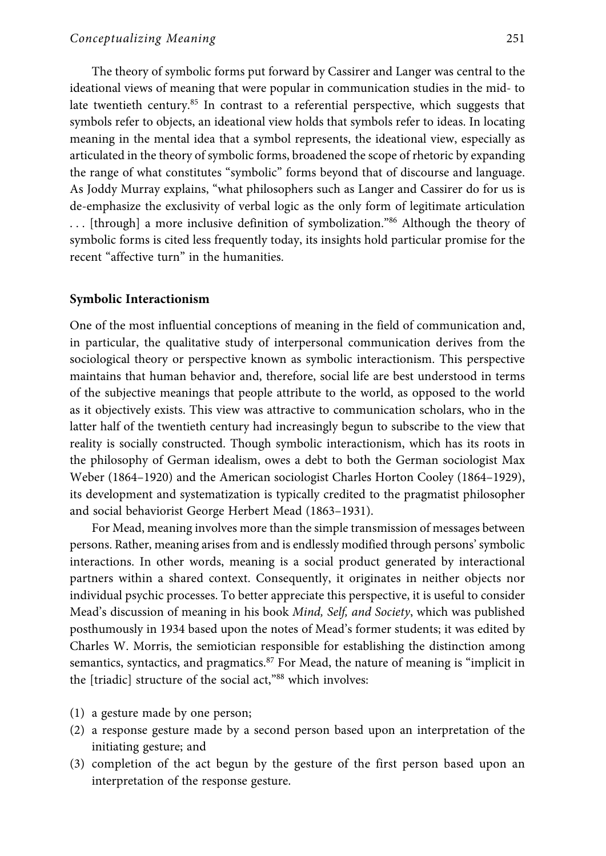The theory of symbolic forms put forward by Cassirer and Langer was central to the ideational views of meaning that were popular in communication studies in the mid- to late twentieth century.<sup>85</sup> In contrast to a referential perspective, which suggests that symbols refer to objects, an ideational view holds that symbols refer to ideas. In locating meaning in the mental idea that a symbol represents, the ideational view, especially as articulated in the theory of symbolic forms, broadened the scope of rhetoric by expanding the range of what constitutes "symbolic" forms beyond that of discourse and language. As Joddy Murray explains, "what philosophers such as Langer and Cassirer do for us is de-emphasize the exclusivity of verbal logic as the only form of legitimate articulation . . . [through] a more inclusive definition of symbolization."86 Although the theory of symbolic forms is cited less frequently today, its insights hold particular promise for the recent "affective turn" in the humanities.

#### **Symbolic Interactionism**

One of the most influential conceptions of meaning in the field of communication and, in particular, the qualitative study of interpersonal communication derives from the sociological theory or perspective known as symbolic interactionism. This perspective maintains that human behavior and, therefore, social life are best understood in terms of the subjective meanings that people attribute to the world, as opposed to the world as it objectively exists. This view was attractive to communication scholars, who in the latter half of the twentieth century had increasingly begun to subscribe to the view that reality is socially constructed. Though symbolic interactionism, which has its roots in the philosophy of German idealism, owes a debt to both the German sociologist Max Weber (1864–1920) and the American sociologist Charles Horton Cooley (1864–1929), its development and systematization is typically credited to the pragmatist philosopher and social behaviorist George Herbert Mead (1863–1931).

For Mead, meaning involves more than the simple transmission of messages between persons. Rather, meaning arises from and is endlessly modified through persons' symbolic interactions. In other words, meaning is a social product generated by interactional partners within a shared context. Consequently, it originates in neither objects nor individual psychic processes. To better appreciate this perspective, it is useful to consider Mead's discussion of meaning in his book *Mind, Self, and Society*, which was published posthumously in 1934 based upon the notes of Mead's former students; it was edited by Charles W. Morris, the semiotician responsible for establishing the distinction among semantics, syntactics, and pragmatics. $87$  For Mead, the nature of meaning is "implicit in the [triadic] structure of the social act,"88 which involves:

- (1) a gesture made by one person;
- (2) a response gesture made by a second person based upon an interpretation of the initiating gesture; and
- (3) completion of the act begun by the gesture of the first person based upon an interpretation of the response gesture.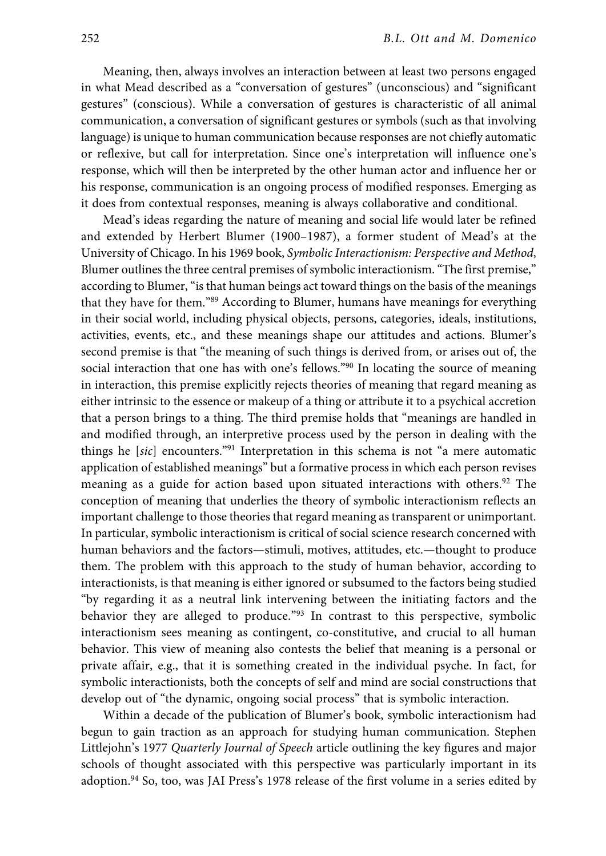Meaning, then, always involves an interaction between at least two persons engaged in what Mead described as a "conversation of gestures" (unconscious) and "significant gestures" (conscious). While a conversation of gestures is characteristic of all animal communication, a conversation of significant gestures or symbols (such as that involving language) is unique to human communication because responses are not chiefly automatic or reflexive, but call for interpretation. Since one's interpretation will influence one's response, which will then be interpreted by the other human actor and influence her or his response, communication is an ongoing process of modified responses. Emerging as it does from contextual responses, meaning is always collaborative and conditional.

Mead's ideas regarding the nature of meaning and social life would later be refined and extended by Herbert Blumer (1900–1987), a former student of Mead's at the University of Chicago. In his 1969 book, *Symbolic Interactionism: Perspective and Method*, Blumer outlines the three central premises of symbolic interactionism. "The first premise," according to Blumer, "is that human beings act toward things on the basis of the meanings that they have for them."89 According to Blumer, humans have meanings for everything in their social world, including physical objects, persons, categories, ideals, institutions, activities, events, etc., and these meanings shape our attitudes and actions. Blumer's second premise is that "the meaning of such things is derived from, or arises out of, the social interaction that one has with one's fellows."<sup>90</sup> In locating the source of meaning in interaction, this premise explicitly rejects theories of meaning that regard meaning as either intrinsic to the essence or makeup of a thing or attribute it to a psychical accretion that a person brings to a thing. The third premise holds that "meanings are handled in and modified through, an interpretive process used by the person in dealing with the things he [*sic*] encounters."91 Interpretation in this schema is not "a mere automatic application of established meanings" but a formative process in which each person revises meaning as a guide for action based upon situated interactions with others.<sup>92</sup> The conception of meaning that underlies the theory of symbolic interactionism reflects an important challenge to those theories that regard meaning as transparent or unimportant. In particular, symbolic interactionism is critical of social science research concerned with human behaviors and the factors—stimuli, motives, attitudes, etc.—thought to produce them. The problem with this approach to the study of human behavior, according to interactionists, is that meaning is either ignored or subsumed to the factors being studied "by regarding it as a neutral link intervening between the initiating factors and the behavior they are alleged to produce."93 In contrast to this perspective, symbolic interactionism sees meaning as contingent, co-constitutive, and crucial to all human behavior. This view of meaning also contests the belief that meaning is a personal or private affair, e.g., that it is something created in the individual psyche. In fact, for symbolic interactionists, both the concepts of self and mind are social constructions that develop out of "the dynamic, ongoing social process" that is symbolic interaction.

Within a decade of the publication of Blumer's book, symbolic interactionism had begun to gain traction as an approach for studying human communication. Stephen Littlejohn's 1977 *Quarterly Journal of Speech* article outlining the key figures and major schools of thought associated with this perspective was particularly important in its adoption.<sup>94</sup> So, too, was JAI Press's 1978 release of the first volume in a series edited by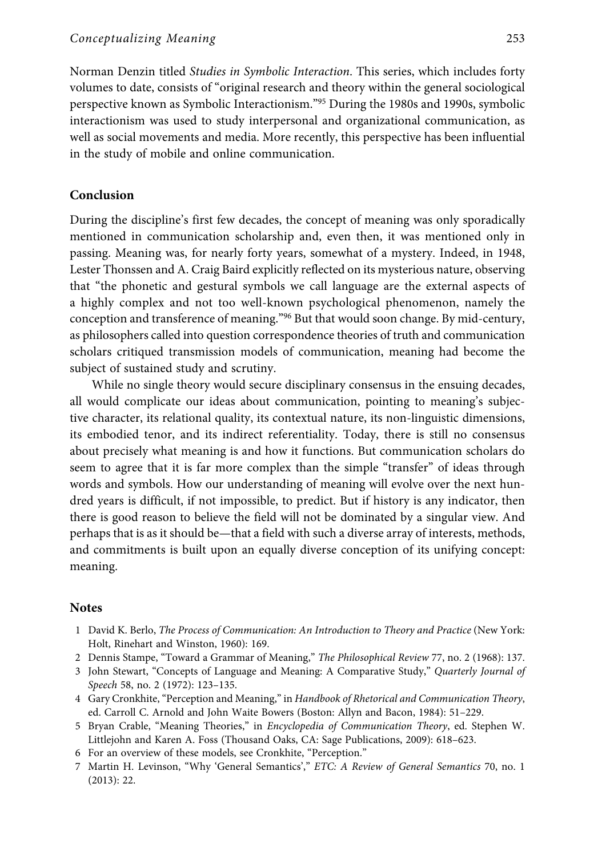Norman Denzin titled *Studies in Symbolic Interaction*. This series, which includes forty volumes to date, consists of "original research and theory within the general sociological perspective known as Symbolic Interactionism."95 During the 1980s and 1990s, symbolic interactionism was used to study interpersonal and organizational communication, as well as social movements and media. More recently, this perspective has been influential in the study of mobile and online communication.

#### **Conclusion**

During the discipline's first few decades, the concept of meaning was only sporadically mentioned in communication scholarship and, even then, it was mentioned only in passing. Meaning was, for nearly forty years, somewhat of a mystery. Indeed, in 1948, Lester Thonssen and A. Craig Baird explicitly reflected on its mysterious nature, observing that "the phonetic and gestural symbols we call language are the external aspects of a highly complex and not too well-known psychological phenomenon, namely the conception and transference of meaning."96 But that would soon change. By mid-century, as philosophers called into question correspondence theories of truth and communication scholars critiqued transmission models of communication, meaning had become the subject of sustained study and scrutiny.

While no single theory would secure disciplinary consensus in the ensuing decades, all would complicate our ideas about communication, pointing to meaning's subjective character, its relational quality, its contextual nature, its non-linguistic dimensions, its embodied tenor, and its indirect referentiality. Today, there is still no consensus about precisely what meaning is and how it functions. But communication scholars do seem to agree that it is far more complex than the simple "transfer" of ideas through words and symbols. How our understanding of meaning will evolve over the next hundred years is difficult, if not impossible, to predict. But if history is any indicator, then there is good reason to believe the field will not be dominated by a singular view. And perhaps that is as it should be—that a field with such a diverse array of interests, methods, and commitments is built upon an equally diverse conception of its unifying concept: meaning.

#### **Notes**

- 1 David K. Berlo, *The Process of Communication: An Introduction to Theory and Practice* (New York: Holt, Rinehart and Winston, 1960): 169.
- 2 Dennis Stampe, "Toward a Grammar of Meaning," *The Philosophical Review* 77, no. 2 (1968): 137.
- 3 John Stewart, "Concepts of Language and Meaning: A Comparative Study," *Quarterly Journal of Speech* 58, no. 2 (1972): 123–135.
- 4 Gary Cronkhite, "Perception and Meaning," in *Handbook of Rhetorical and Communication Theory*, ed. Carroll C. Arnold and John Waite Bowers (Boston: Allyn and Bacon, 1984): 51–229.
- 5 Bryan Crable, "Meaning Theories," in *Encyclopedia of Communication Theory*, ed. Stephen W. Littlejohn and Karen A. Foss (Thousand Oaks, CA: Sage Publications, 2009): 618–623.
- 6 For an overview of these models, see Cronkhite, "Perception."
- 7 Martin H. Levinson, "Why 'General Semantics'," *ETC: A Review of General Semantics* 70, no. 1 (2013): 22.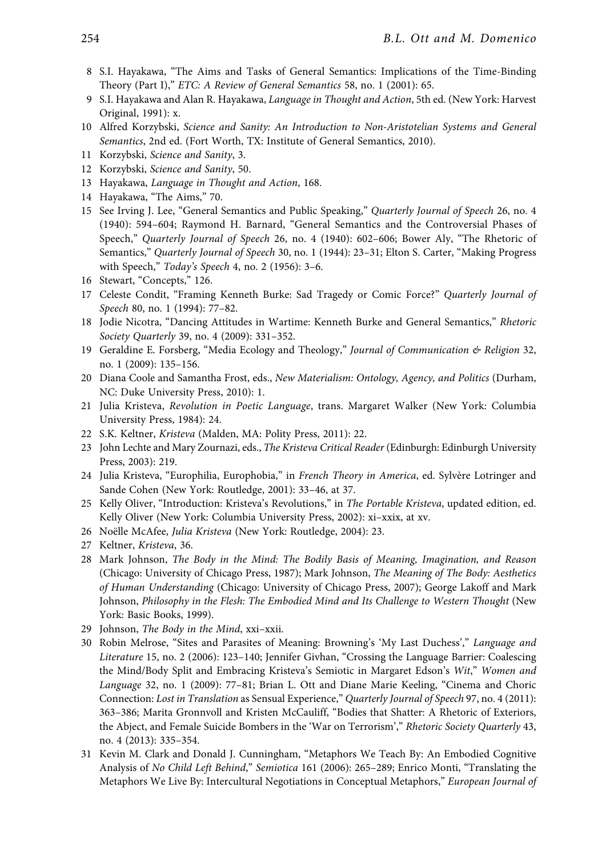- 8 S.I. Hayakawa, "The Aims and Tasks of General Semantics: Implications of the Time-Binding Theory (Part I)," *ETC: A Review of General Semantics* 58, no. 1 (2001): 65.
- 9 S.I. Hayakawa and Alan R. Hayakawa, *Language in Thought and Action*, 5th ed. (New York: Harvest Original, 1991): x.
- 10 Alfred Korzybski, *Science and Sanity: An Introduction to Non-Aristotelian Systems and General Semantics*, 2nd ed. (Fort Worth, TX: Institute of General Semantics, 2010).
- 11 Korzybski, *Science and Sanity*, 3.
- 12 Korzybski, *Science and Sanity*, 50.
- 13 Hayakawa, *Language in Thought and Action*, 168.
- 14 Hayakawa, "The Aims," 70.
- 15 See Irving J. Lee, "General Semantics and Public Speaking," *Quarterly Journal of Speech* 26, no. 4 (1940): 594–604; Raymond H. Barnard, "General Semantics and the Controversial Phases of Speech," *Quarterly Journal of Speech* 26, no. 4 (1940): 602–606; Bower Aly, "The Rhetoric of Semantics," *Quarterly Journal of Speech* 30, no. 1 (1944): 23–31; Elton S. Carter, "Making Progress with Speech," *Today's Speech* 4, no. 2 (1956): 3–6.
- 16 Stewart, "Concepts," 126.
- 17 Celeste Condit, "Framing Kenneth Burke: Sad Tragedy or Comic Force?" *Quarterly Journal of Speech* 80, no. 1 (1994): 77–82.
- 18 Jodie Nicotra, "Dancing Attitudes in Wartime: Kenneth Burke and General Semantics," *Rhetoric Society Quarterly* 39, no. 4 (2009): 331–352.
- 19 Geraldine E. Forsberg, "Media Ecology and Theology," *Journal of Communication & Religion* 32, no. 1 (2009): 135–156.
- 20 Diana Coole and Samantha Frost, eds., *New Materialism: Ontology, Agency, and Politics* (Durham, NC: Duke University Press, 2010): 1.
- 21 Julia Kristeva, *Revolution in Poetic Language*, trans. Margaret Walker (New York: Columbia University Press, 1984): 24.
- 22 S.K. Keltner, *Kristeva* (Malden, MA: Polity Press, 2011): 22.
- 23 John Lechte and Mary Zournazi, eds., *The Kristeva Critical Reader* (Edinburgh: Edinburgh University Press, 2003): 219.
- 24 Julia Kristeva, "Europhilia, Europhobia," in *French Theory in America*, ed. Sylvère Lotringer and Sande Cohen (New York: Routledge, 2001): 33–46, at 37.
- 25 Kelly Oliver, "Introduction: Kristeva's Revolutions," in *The Portable Kristeva*, updated edition, ed. Kelly Oliver (New York: Columbia University Press, 2002): xi–xxix, at xv.
- 26 Noëlle McAfee, *Julia Kristeva* (New York: Routledge, 2004): 23.
- 27 Keltner, *Kristeva*, 36.
- 28 Mark Johnson, *The Body in the Mind: The Bodily Basis of Meaning, Imagination, and Reason* (Chicago: University of Chicago Press, 1987); Mark Johnson, *The Meaning of The Body: Aesthetics of Human Understanding* (Chicago: University of Chicago Press, 2007); George Lakoff and Mark Johnson, *Philosophy in the Flesh: The Embodied Mind and Its Challenge to Western Thought* (New York: Basic Books, 1999).
- 29 Johnson, *The Body in the Mind*, xxi–xxii.
- 30 Robin Melrose, "Sites and Parasites of Meaning: Browning's 'My Last Duchess'," *Language and Literature* 15, no. 2 (2006): 123–140; Jennifer Givhan, "Crossing the Language Barrier: Coalescing the Mind/Body Split and Embracing Kristeva's Semiotic in Margaret Edson's *Wit*," *Women and Language* 32, no. 1 (2009): 77–81; Brian L. Ott and Diane Marie Keeling, "Cinema and Choric Connection: *Lost in Translation* as Sensual Experience," *Quarterly Journal of Speech* 97, no. 4 (2011): 363–386; Marita Gronnvoll and Kristen McCauliff, "Bodies that Shatter: A Rhetoric of Exteriors, the Abject, and Female Suicide Bombers in the 'War on Terrorism'," *Rhetoric Society Quarterly* 43, no. 4 (2013): 335–354.
- 31 Kevin M. Clark and Donald J. Cunningham, "Metaphors We Teach By: An Embodied Cognitive Analysis of *No Child Left Behind*," *Semiotica* 161 (2006): 265–289; Enrico Monti, "Translating the Metaphors We Live By: Intercultural Negotiations in Conceptual Metaphors," *European Journal of*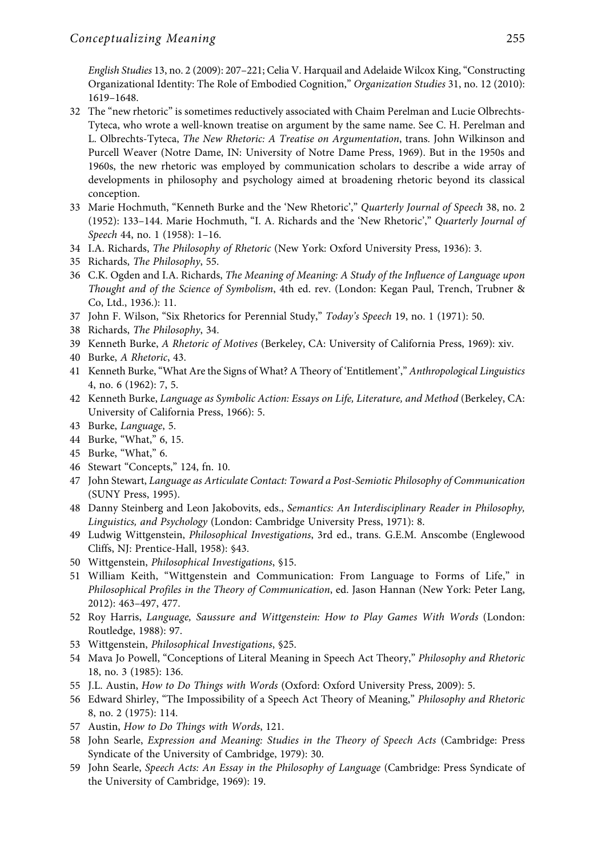*English Studies* 13, no. 2 (2009): 207–221; Celia V. Harquail and Adelaide Wilcox King, "Constructing Organizational Identity: The Role of Embodied Cognition," *Organization Studies* 31, no. 12 (2010): 1619–1648.

- 32 The "new rhetoric" is sometimes reductively associated with Chaim Perelman and Lucie Olbrechts-Tyteca, who wrote a well-known treatise on argument by the same name. See C. H. Perelman and L. Olbrechts-Tyteca, *The New Rhetoric: A Treatise on Argumentation*, trans. John Wilkinson and Purcell Weaver (Notre Dame, IN: University of Notre Dame Press, 1969). But in the 1950s and 1960s, the new rhetoric was employed by communication scholars to describe a wide array of developments in philosophy and psychology aimed at broadening rhetoric beyond its classical conception.
- 33 Marie Hochmuth, "Kenneth Burke and the 'New Rhetoric'," *Quarterly Journal of Speech* 38, no. 2 (1952): 133–144. Marie Hochmuth, "I. A. Richards and the 'New Rhetoric'," *Quarterly Journal of Speech* 44, no. 1 (1958): 1–16.
- 34 I.A. Richards, *The Philosophy of Rhetoric* (New York: Oxford University Press, 1936): 3.
- 35 Richards, *The Philosophy*, 55.
- 36 C.K. Ogden and I.A. Richards, *The Meaning of Meaning: A Study of the Influence of Language upon Thought and of the Science of Symbolism*, 4th ed. rev. (London: Kegan Paul, Trench, Trubner & Co, Ltd., 1936.): 11.
- 37 John F. Wilson, "Six Rhetorics for Perennial Study," *Today's Speech* 19, no. 1 (1971): 50.
- 38 Richards, *The Philosophy*, 34.
- 39 Kenneth Burke, *A Rhetoric of Motives* (Berkeley, CA: University of California Press, 1969): xiv.
- 40 Burke, *A Rhetoric*, 43.
- 41 Kenneth Burke, "What Are the Signs of What? A Theory of 'Entitlement'," *Anthropological Linguistics* 4, no. 6 (1962): 7, 5.
- 42 Kenneth Burke, *Language as Symbolic Action: Essays on Life, Literature, and Method* (Berkeley, CA: University of California Press, 1966): 5.
- 43 Burke, *Language*, 5.
- 44 Burke, "What," 6, 15.
- 45 Burke, "What," 6.
- 46 Stewart "Concepts," 124, fn. 10.
- 47 John Stewart, *Language as Articulate Contact: Toward a Post-Semiotic Philosophy of Communication* (SUNY Press, 1995).
- 48 Danny Steinberg and Leon Jakobovits, eds., *Semantics: An Interdisciplinary Reader in Philosophy, Linguistics, and Psychology* (London: Cambridge University Press, 1971): 8.
- 49 Ludwig Wittgenstein, *Philosophical Investigations*, 3rd ed., trans. G.E.M. Anscombe (Englewood Cliffs, NJ: Prentice-Hall, 1958): §43.
- 50 Wittgenstein, *Philosophical Investigations*, §15.
- 51 William Keith, "Wittgenstein and Communication: From Language to Forms of Life," in *Philosophical Profiles in the Theory of Communication*, ed. Jason Hannan (New York: Peter Lang, 2012): 463–497, 477.
- 52 Roy Harris, *Language, Saussure and Wittgenstein: How to Play Games With Words* (London: Routledge, 1988): 97.
- 53 Wittgenstein, *Philosophical Investigations*, §25.
- 54 Mava Jo Powell, "Conceptions of Literal Meaning in Speech Act Theory," *Philosophy and Rhetoric* 18, no. 3 (1985): 136.
- 55 J.L. Austin, *How to Do Things with Words* (Oxford: Oxford University Press, 2009): 5.
- 56 Edward Shirley, "The Impossibility of a Speech Act Theory of Meaning," *Philosophy and Rhetoric* 8, no. 2 (1975): 114.
- 57 Austin, *How to Do Things with Words*, 121.
- 58 John Searle, *Expression and Meaning: Studies in the Theory of Speech Acts* (Cambridge: Press Syndicate of the University of Cambridge, 1979): 30.
- 59 John Searle, *Speech Acts: An Essay in the Philosophy of Language* (Cambridge: Press Syndicate of the University of Cambridge, 1969): 19.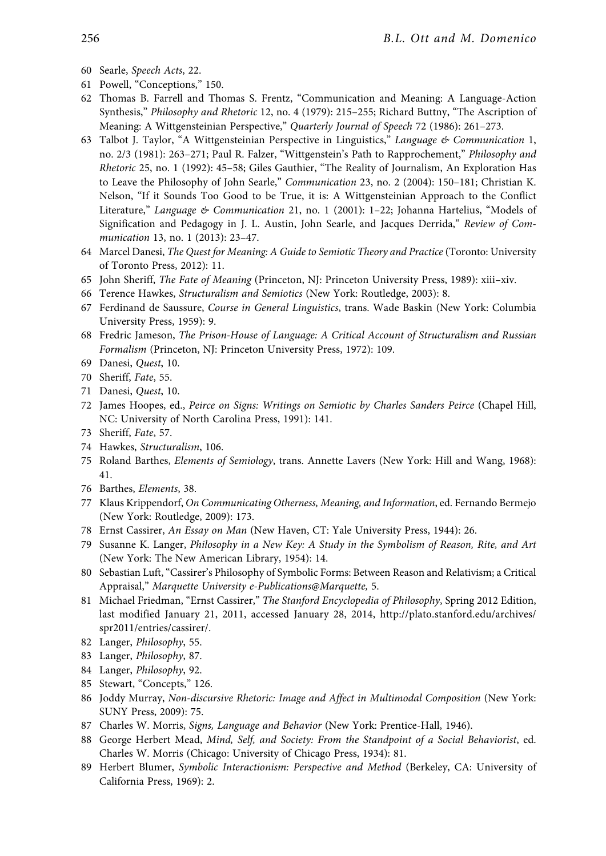- 60 Searle, *Speech Acts*, 22.
- 61 Powell, "Conceptions," 150.
- 62 Thomas B. Farrell and Thomas S. Frentz, "Communication and Meaning: A Language-Action Synthesis," *Philosophy and Rhetoric* 12, no. 4 (1979): 215–255; Richard Buttny, "The Ascription of Meaning: A Wittgensteinian Perspective," *Quarterly Journal of Speech* 72 (1986): 261–273.
- 63 Talbot J. Taylor, "A Wittgensteinian Perspective in Linguistics," *Language & Communication* 1, no. 2/3 (1981): 263–271; Paul R. Falzer, "Wittgenstein's Path to Rapprochement," *Philosophy and Rhetoric* 25, no. 1 (1992): 45–58; Giles Gauthier, "The Reality of Journalism, An Exploration Has to Leave the Philosophy of John Searle," *Communication* 23, no. 2 (2004): 150–181; Christian K. Nelson, "If it Sounds Too Good to be True, it is: A Wittgensteinian Approach to the Conflict Literature," *Language & Communication* 21, no. 1 (2001): 1–22; Johanna Hartelius, "Models of Signification and Pedagogy in J. L. Austin, John Searle, and Jacques Derrida," Review of Com*munication* 13, no. 1 (2013): 23–47.
- 64 Marcel Danesi, *The Quest for Meaning: A Guide to Semiotic Theory and Practice* (Toronto: University of Toronto Press, 2012): 11.
- 65 John Sheriff, *The Fate of Meaning* (Princeton, NJ: Princeton University Press, 1989): xiii–xiv.
- 66 Terence Hawkes, *Structuralism and Semiotics* (New York: Routledge, 2003): 8.
- 67 Ferdinand de Saussure, *Course in General Linguistics*, trans. Wade Baskin (New York: Columbia University Press, 1959): 9.
- 68 Fredric Jameson, *The Prison-House of Language: A Critical Account of Structuralism and Russian Formalism* (Princeton, NJ: Princeton University Press, 1972): 109.
- 69 Danesi, *Quest*, 10.
- 70 Sheriff, *Fate*, 55.
- 71 Danesi, *Quest*, 10.
- 72 James Hoopes, ed., *Peirce on Signs: Writings on Semiotic by Charles Sanders Peirce* (Chapel Hill, NC: University of North Carolina Press, 1991): 141.
- 73 Sheriff, *Fate*, 57.
- 74 Hawkes, *Structuralism*, 106.
- 75 Roland Barthes, *Elements of Semiology*, trans. Annette Lavers (New York: Hill and Wang, 1968): 41.
- 76 Barthes, *Elements*, 38.
- 77 Klaus Krippendorf, *On Communicating Otherness, Meaning, and Information*, ed. Fernando Bermejo (New York: Routledge, 2009): 173.
- 78 Ernst Cassirer, *An Essay on Man* (New Haven, CT: Yale University Press, 1944): 26.
- 79 Susanne K. Langer, *Philosophy in a New Key: A Study in the Symbolism of Reason, Rite, and Art* (New York: The New American Library, 1954): 14.
- 80 Sebastian Luft, "Cassirer's Philosophy of Symbolic Forms: Between Reason and Relativism; a Critical Appraisal," *Marquette University e-Publications@Marquette,* 5.
- 81 Michael Friedman, "Ernst Cassirer," *The Stanford Encyclopedia of Philosophy*, Spring 2012 Edition, last modified January 21, 2011, accessed January 28, 2014, http://plato.stanford.edu/archives/ spr2011/entries/cassirer/.
- 82 Langer, *Philosophy*, 55.
- 83 Langer, *Philosophy*, 87.
- 84 Langer, *Philosophy*, 92.
- 85 Stewart, "Concepts," 126.
- 86 Joddy Murray, *Non-discursive Rhetoric: Image and Affect in Multimodal Composition* (New York: SUNY Press, 2009): 75.
- 87 Charles W. Morris, *Signs, Language and Behavior* (New York: Prentice-Hall, 1946).
- 88 George Herbert Mead, *Mind, Self, and Society: From the Standpoint of a Social Behaviorist*, ed. Charles W. Morris (Chicago: University of Chicago Press, 1934): 81.
- 89 Herbert Blumer, *Symbolic Interactionism: Perspective and Method* (Berkeley, CA: University of California Press, 1969): 2.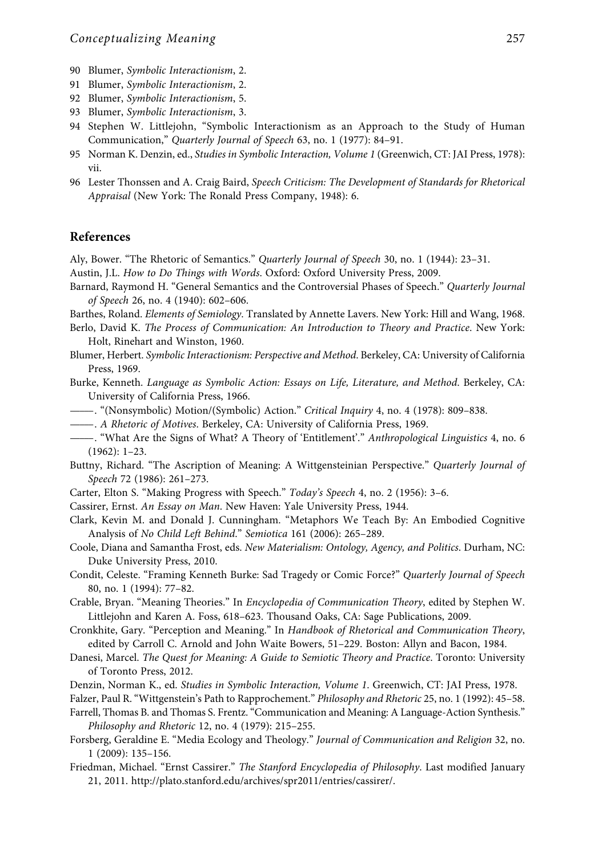- 90 Blumer, *Symbolic Interactionism*, 2.
- 91 Blumer, *Symbolic Interactionism*, 2.
- 92 Blumer, *Symbolic Interactionism*, 5.
- 93 Blumer, *Symbolic Interactionism*, 3.
- 94 Stephen W. Littlejohn, "Symbolic Interactionism as an Approach to the Study of Human Communication," *Quarterly Journal of Speech* 63, no. 1 (1977): 84–91.
- 95 Norman K. Denzin, ed., *Studies in Symbolic Interaction, Volume 1* (Greenwich, CT: JAI Press, 1978): vii.
- 96 Lester Thonssen and A. Craig Baird, *Speech Criticism: The Development of Standards for Rhetorical Appraisal* (New York: The Ronald Press Company, 1948): 6.

#### **References**

Aly, Bower. "The Rhetoric of Semantics." *Quarterly Journal of Speech* 30, no. 1 (1944): 23–31.

Austin, J.L. *How to Do Things with Words*. Oxford: Oxford University Press, 2009.

- Barnard, Raymond H. "General Semantics and the Controversial Phases of Speech." *Quarterly Journal of Speech* 26, no. 4 (1940): 602–606.
- Barthes, Roland. *Elements of Semiology*. Translated by Annette Lavers. New York: Hill and Wang, 1968.
- Berlo, David K. *The Process of Communication: An Introduction to Theory and Practice*. New York: Holt, Rinehart and Winston, 1960.
- Blumer, Herbert. *Symbolic Interactionism: Perspective and Method*. Berkeley, CA: University of California Press, 1969.
- Burke, Kenneth. *Language as Symbolic Action: Essays on Life, Literature, and Method*. Berkeley, CA: University of California Press, 1966.
- ––––– . "(Nonsymbolic) Motion/(Symbolic) Action." *Critical Inquiry* 4, no. 4 (1978): 809–838.
- ––––– . *A Rhetoric of Motives*. Berkeley, CA: University of California Press, 1969.
- ––––– . "What Are the Signs of What? A Theory of 'Entitlement'." *Anthropological Linguistics* 4, no. 6 (1962): 1–23.
- Buttny, Richard. "The Ascription of Meaning: A Wittgensteinian Perspective." *Quarterly Journal of Speech* 72 (1986): 261–273.
- Carter, Elton S. "Making Progress with Speech." *Today's Speech* 4, no. 2 (1956): 3–6.
- Cassirer, Ernst. *An Essay on Man*. New Haven: Yale University Press, 1944.
- Clark, Kevin M. and Donald J. Cunningham. "Metaphors We Teach By: An Embodied Cognitive Analysis of *No Child Left Behind*." *Semiotica* 161 (2006): 265–289.
- Coole, Diana and Samantha Frost, eds. *New Materialism: Ontology, Agency, and Politics*. Durham, NC: Duke University Press, 2010.
- Condit, Celeste. "Framing Kenneth Burke: Sad Tragedy or Comic Force?" *Quarterly Journal of Speech* 80, no. 1 (1994): 77–82.
- Crable, Bryan. "Meaning Theories." In *Encyclopedia of Communication Theory*, edited by Stephen W. Littlejohn and Karen A. Foss, 618–623. Thousand Oaks, CA: Sage Publications, 2009.
- Cronkhite, Gary. "Perception and Meaning." In *Handbook of Rhetorical and Communication Theory*, edited by Carroll C. Arnold and John Waite Bowers, 51–229. Boston: Allyn and Bacon, 1984.
- Danesi, Marcel. *The Quest for Meaning: A Guide to Semiotic Theory and Practice*. Toronto: University of Toronto Press, 2012.
- Denzin, Norman K., ed. *Studies in Symbolic Interaction, Volume 1*. Greenwich, CT: JAI Press, 1978.
- Falzer, Paul R. "Wittgenstein's Path to Rapprochement." *Philosophy and Rhetoric* 25, no. 1 (1992): 45–58.
- Farrell, Thomas B. and Thomas S. Frentz. "Communication and Meaning: A Language-Action Synthesis." *Philosophy and Rhetoric* 12, no. 4 (1979): 215–255.
- Forsberg, Geraldine E. "Media Ecology and Theology." *Journal of Communication and Religion* 32, no. 1 (2009): 135–156.
- Friedman, Michael. "Ernst Cassirer." *The Stanford Encyclopedia of Philosophy*. Last modified January 21, 2011. http://plato.stanford.edu/archives/spr2011/entries/cassirer/.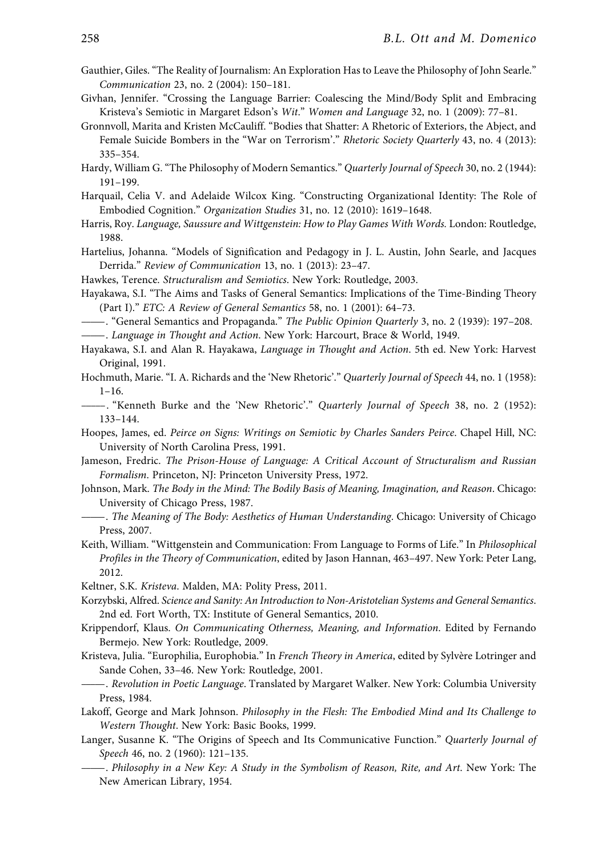- Gauthier, Giles. "The Reality of Journalism: An Exploration Has to Leave the Philosophy of John Searle." *Communication* 23, no. 2 (2004): 150–181.
- Givhan, Jennifer. "Crossing the Language Barrier: Coalescing the Mind/Body Split and Embracing Kristeva's Semiotic in Margaret Edson's *Wit*." *Women and Language* 32, no. 1 (2009): 77–81.
- Gronnvoll, Marita and Kristen McCauliff. "Bodies that Shatter: A Rhetoric of Exteriors, the Abject, and Female Suicide Bombers in the "War on Terrorism'." *Rhetoric Society Quarterly* 43, no. 4 (2013): 335–354.
- Hardy, William G. "The Philosophy of Modern Semantics." *Quarterly Journal of Speech* 30, no. 2 (1944): 191–199.
- Harquail, Celia V. and Adelaide Wilcox King. "Constructing Organizational Identity: The Role of Embodied Cognition." *Organization Studies* 31, no. 12 (2010): 1619–1648.
- Harris, Roy. *Language, Saussure and Wittgenstein: How to Play Games With Words.* London: Routledge, 1988.
- Hartelius, Johanna. "Models of Signification and Pedagogy in J. L. Austin, John Searle, and Jacques Derrida." *Review of Communication* 13, no. 1 (2013): 23–47.

Hawkes, Terence. *Structuralism and Semiotics*. New York: Routledge, 2003.

- Hayakawa, S.I. "The Aims and Tasks of General Semantics: Implications of the Time-Binding Theory (Part I)." *ETC: A Review of General Semantics* 58, no. 1 (2001): 64–73.
- ––––– . "General Semantics and Propaganda." *The Public Opinion Quarterly* 3, no. 2 (1939): 197–208. ––––– . *Language in Thought and Action*. New York: Harcourt, Brace & World, 1949.
- Hayakawa, S.I. and Alan R. Hayakawa, *Language in Thought and Action*. 5th ed. New York: Harvest Original, 1991.
- Hochmuth, Marie. "I. A. Richards and the 'New Rhetoric'." *Quarterly Journal of Speech* 44, no. 1 (1958):  $1 - 16$
- ––––– . "Kenneth Burke and the 'New Rhetoric'." *Quarterly Journal of Speech* 38, no. 2 (1952): 133–144.
- Hoopes, James, ed. *Peirce on Signs: Writings on Semiotic by Charles Sanders Peirce*. Chapel Hill, NC: University of North Carolina Press, 1991.
- Jameson, Fredric. *The Prison-House of Language: A Critical Account of Structuralism and Russian Formalism*. Princeton, NJ: Princeton University Press, 1972.
- Johnson, Mark. *The Body in the Mind: The Bodily Basis of Meaning, Imagination, and Reason*. Chicago: University of Chicago Press, 1987.
- ––––– . *The Meaning of The Body: Aesthetics of Human Understanding*. Chicago: University of Chicago Press, 2007.
- Keith, William. "Wittgenstein and Communication: From Language to Forms of Life." In *Philosophical Profiles in the Theory of Communication*, edited by Jason Hannan, 463–497. New York: Peter Lang, 2012.

Keltner, S.K. *Kristeva*. Malden, MA: Polity Press, 2011.

- Korzybski, Alfred. *Science and Sanity: An Introduction to Non-Aristotelian Systems and General Semantics*. 2nd ed. Fort Worth, TX: Institute of General Semantics, 2010.
- Krippendorf, Klaus. *On Communicating Otherness, Meaning, and Information*. Edited by Fernando Bermejo. New York: Routledge, 2009.
- Kristeva, Julia. "Europhilia, Europhobia." In *French Theory in America*, edited by Sylvère Lotringer and Sande Cohen, 33–46. New York: Routledge, 2001.
- ––––– . *Revolution in Poetic Language*. Translated by Margaret Walker. New York: Columbia University Press, 1984.
- Lakoff, George and Mark Johnson. *Philosophy in the Flesh: The Embodied Mind and Its Challenge to Western Thought*. New York: Basic Books, 1999.
- Langer, Susanne K. "The Origins of Speech and Its Communicative Function." *Quarterly Journal of Speech* 46, no. 2 (1960): 121–135.
- ––––– . *Philosophy in a New Key: A Study in the Symbolism of Reason, Rite, and Art*. New York: The New American Library, 1954.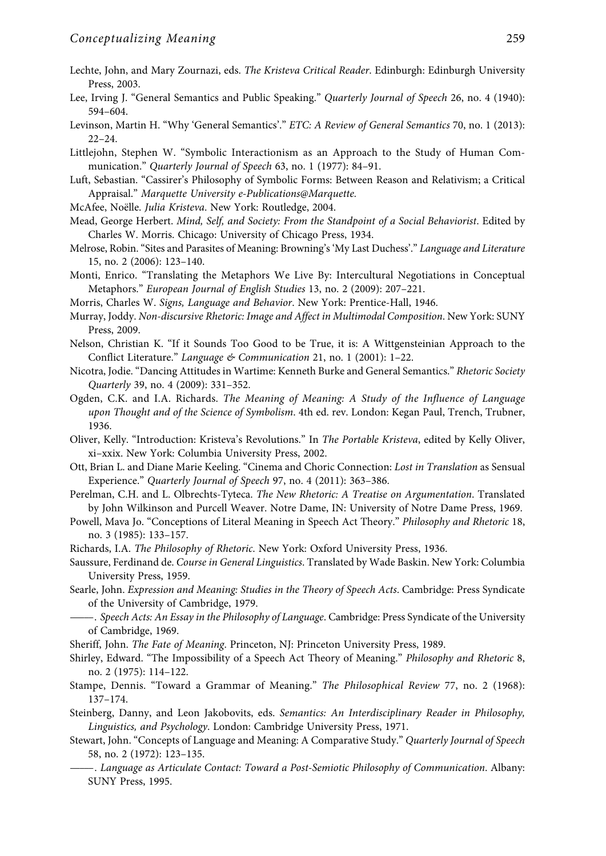- Lechte, John, and Mary Zournazi, eds. *The Kristeva Critical Reader*. Edinburgh: Edinburgh University Press, 2003.
- Lee, Irving J. "General Semantics and Public Speaking." *Quarterly Journal of Speech* 26, no. 4 (1940): 594–604.
- Levinson, Martin H. "Why 'General Semantics'." *ETC: A Review of General Semantics* 70, no. 1 (2013): 22–24.
- Littlejohn, Stephen W. "Symbolic Interactionism as an Approach to the Study of Human Communication." *Quarterly Journal of Speech* 63, no. 1 (1977): 84–91.
- Luft, Sebastian. "Cassirer's Philosophy of Symbolic Forms: Between Reason and Relativism; a Critical Appraisal." *Marquette University e-Publications@Marquette.*
- McAfee, Noëlle. *Julia Kristeva*. New York: Routledge, 2004.
- Mead, George Herbert. *Mind, Self, and Society: From the Standpoint of a Social Behaviorist*. Edited by Charles W. Morris. Chicago: University of Chicago Press, 1934.
- Melrose, Robin. "Sites and Parasites of Meaning: Browning's 'My Last Duchess'." *Language and Literature* 15, no. 2 (2006): 123–140.
- Monti, Enrico. "Translating the Metaphors We Live By: Intercultural Negotiations in Conceptual Metaphors." *European Journal of English Studies* 13, no. 2 (2009): 207–221.
- Morris, Charles W. *Signs, Language and Behavior*. New York: Prentice-Hall, 1946.
- Murray, Joddy. *Non-discursive Rhetoric: Image and Affect in Multimodal Composition*. New York: SUNY Press, 2009.
- Nelson, Christian K. "If it Sounds Too Good to be True, it is: A Wittgensteinian Approach to the Conflict Literature." *Language & Communication* 21, no. 1 (2001): 1–22.
- Nicotra, Jodie. "Dancing Attitudes in Wartime: Kenneth Burke and General Semantics." *Rhetoric Society Quarterly* 39, no. 4 (2009): 331–352.
- Ogden, C.K. and I.A. Richards. *The Meaning of Meaning: A Study of the Influence of Language upon Thought and of the Science of Symbolism*. 4th ed. rev. London: Kegan Paul, Trench, Trubner, 1936.
- Oliver, Kelly. "Introduction: Kristeva's Revolutions." In *The Portable Kristeva*, edited by Kelly Oliver, xi–xxix. New York: Columbia University Press, 2002.
- Ott, Brian L. and Diane Marie Keeling. "Cinema and Choric Connection: *Lost in Translation* as Sensual Experience." *Quarterly Journal of Speech* 97, no. 4 (2011): 363–386.
- Perelman, C.H. and L. Olbrechts-Tyteca. *The New Rhetoric: A Treatise on Argumentation*. Translated by John Wilkinson and Purcell Weaver. Notre Dame, IN: University of Notre Dame Press, 1969.
- Powell, Mava Jo. "Conceptions of Literal Meaning in Speech Act Theory." *Philosophy and Rhetoric* 18, no. 3 (1985): 133–157.
- Richards, I.A. *The Philosophy of Rhetoric*. New York: Oxford University Press, 1936.
- Saussure, Ferdinand de. *Course in General Linguistics*. Translated by Wade Baskin. New York: Columbia University Press, 1959.
- Searle, John. *Expression and Meaning: Studies in the Theory of Speech Acts*. Cambridge: Press Syndicate of the University of Cambridge, 1979.
- ––––– . *Speech Acts: An Essay in the Philosophy of Language*. Cambridge: Press Syndicate of the University of Cambridge, 1969.
- Sheriff, John. *The Fate of Meaning*. Princeton, NJ: Princeton University Press, 1989.
- Shirley, Edward. "The Impossibility of a Speech Act Theory of Meaning." *Philosophy and Rhetoric* 8, no. 2 (1975): 114–122.
- Stampe, Dennis. "Toward a Grammar of Meaning." *The Philosophical Review* 77, no. 2 (1968): 137–174.
- Steinberg, Danny, and Leon Jakobovits, eds. *Semantics: An Interdisciplinary Reader in Philosophy, Linguistics, and Psychology*. London: Cambridge University Press, 1971.
- Stewart, John. "Concepts of Language and Meaning: A Comparative Study." *Quarterly Journal of Speech* 58, no. 2 (1972): 123–135.
	- ––––– . *Language as Articulate Contact: Toward a Post-Semiotic Philosophy of Communication*. Albany: SUNY Press, 1995.